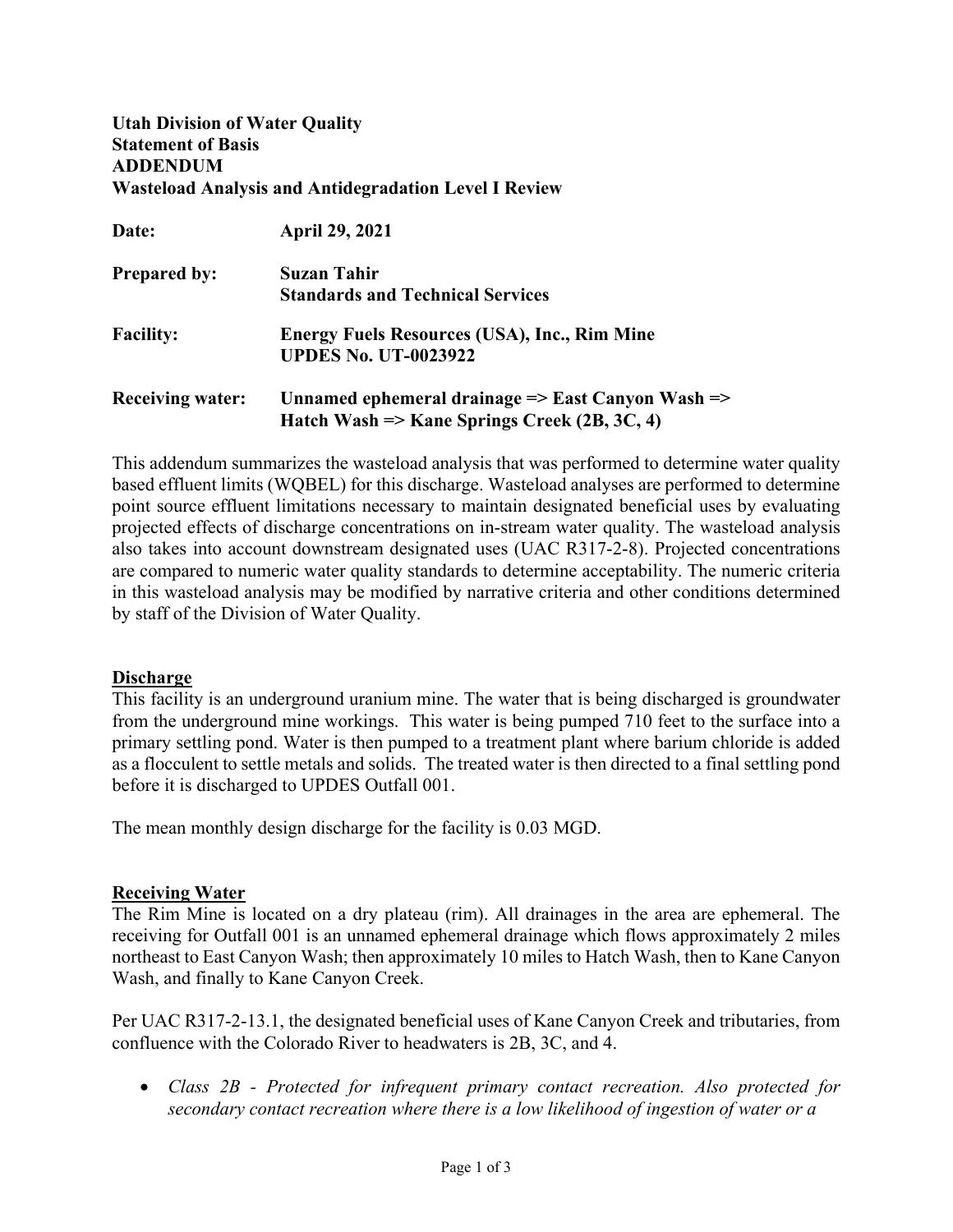# **Utah Division of Water Quality Statement of Basis ADDENDUM Wasteload Analysis and Antidegradation Level I Review**

| Date:                   | <b>April 29, 2021</b>                                                   |
|-------------------------|-------------------------------------------------------------------------|
| <b>Prepared by:</b>     | Suzan Tahir                                                             |
|                         | <b>Standards and Technical Services</b>                                 |
| <b>Facility:</b>        | <b>Energy Fuels Resources (USA), Inc., Rim Mine</b>                     |
|                         | <b>UPDES No. UT-0023922</b>                                             |
| <b>Receiving water:</b> | Unnamed ephemeral drainage $\Rightarrow$ East Canyon Wash $\Rightarrow$ |
|                         | Hatch Wash => Kane Springs Creek (2B, 3C, 4)                            |

This addendum summarizes the wasteload analysis that was performed to determine water quality based effluent limits (WQBEL) for this discharge. Wasteload analyses are performed to determine point source effluent limitations necessary to maintain designated beneficial uses by evaluating projected effects of discharge concentrations on in-stream water quality. The wasteload analysis also takes into account downstream designated uses (UAC R317-2-8). Projected concentrations are compared to numeric water quality standards to determine acceptability. The numeric criteria in this wasteload analysis may be modified by narrative criteria and other conditions determined by staff of the Division of Water Quality.

# **Discharge**

This facility is an underground uranium mine. The water that is being discharged is groundwater from the underground mine workings. This water is being pumped 710 feet to the surface into a primary settling pond. Water is then pumped to a treatment plant where barium chloride is added as a flocculent to settle metals and solids. The treated water is then directed to a final settling pond before it is discharged to UPDES Outfall 001.

The mean monthly design discharge for the facility is 0.03 MGD.

# **Receiving Water**

The Rim Mine is located on a dry plateau (rim). All drainages in the area are ephemeral. The receiving for Outfall 001 is an unnamed ephemeral drainage which flows approximately 2 miles northeast to East Canyon Wash; then approximately 10 miles to Hatch Wash, then to Kane Canyon Wash, and finally to Kane Canyon Creek.

Per UAC R317-2-13.1, the designated beneficial uses of Kane Canyon Creek and tributaries, from confluence with the Colorado River to headwaters is 2B, 3C, and 4.

• *Class 2B - Protected for infrequent primary contact recreation. Also protected for secondary contact recreation where there is a low likelihood of ingestion of water or a*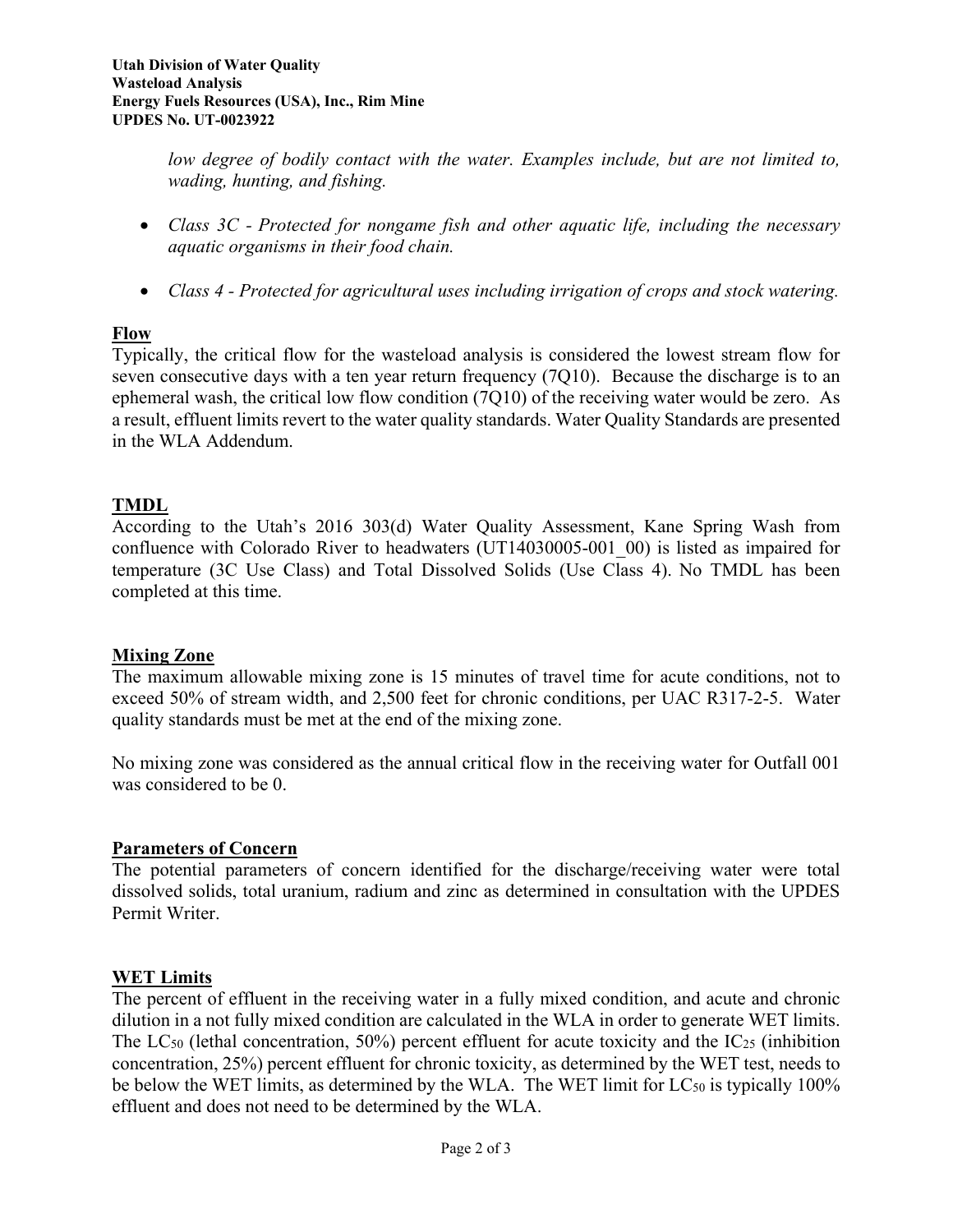*low degree of bodily contact with the water. Examples include, but are not limited to, wading, hunting, and fishing.*

- *Class 3C - Protected for nongame fish and other aquatic life, including the necessary aquatic organisms in their food chain.*
- *Class 4 - Protected for agricultural uses including irrigation of crops and stock watering.*

# **Flow**

Typically, the critical flow for the wasteload analysis is considered the lowest stream flow for seven consecutive days with a ten year return frequency (7Q10). Because the discharge is to an ephemeral wash, the critical low flow condition (7Q10) of the receiving water would be zero. As a result, effluent limits revert to the water quality standards. Water Quality Standards are presented in the WLA Addendum.

# **TMDL**

According to the Utah's 2016 303(d) Water Quality Assessment, Kane Spring Wash from confluence with Colorado River to headwaters (UT14030005-001\_00) is listed as impaired for temperature (3C Use Class) and Total Dissolved Solids (Use Class 4). No TMDL has been completed at this time.

# **Mixing Zone**

The maximum allowable mixing zone is 15 minutes of travel time for acute conditions, not to exceed 50% of stream width, and 2,500 feet for chronic conditions, per UAC R317-2-5. Water quality standards must be met at the end of the mixing zone.

No mixing zone was considered as the annual critical flow in the receiving water for Outfall 001 was considered to be 0.

# **Parameters of Concern**

The potential parameters of concern identified for the discharge/receiving water were total dissolved solids, total uranium, radium and zinc as determined in consultation with the UPDES Permit Writer.

# **WET Limits**

The percent of effluent in the receiving water in a fully mixed condition, and acute and chronic dilution in a not fully mixed condition are calculated in the WLA in order to generate WET limits. The  $LC_{50}$  (lethal concentration, 50%) percent effluent for acute toxicity and the  $IC_{25}$  (inhibition concentration, 25%) percent effluent for chronic toxicity, as determined by the WET test, needs to be below the WET limits, as determined by the WLA. The WET limit for  $LC_{50}$  is typically 100% effluent and does not need to be determined by the WLA.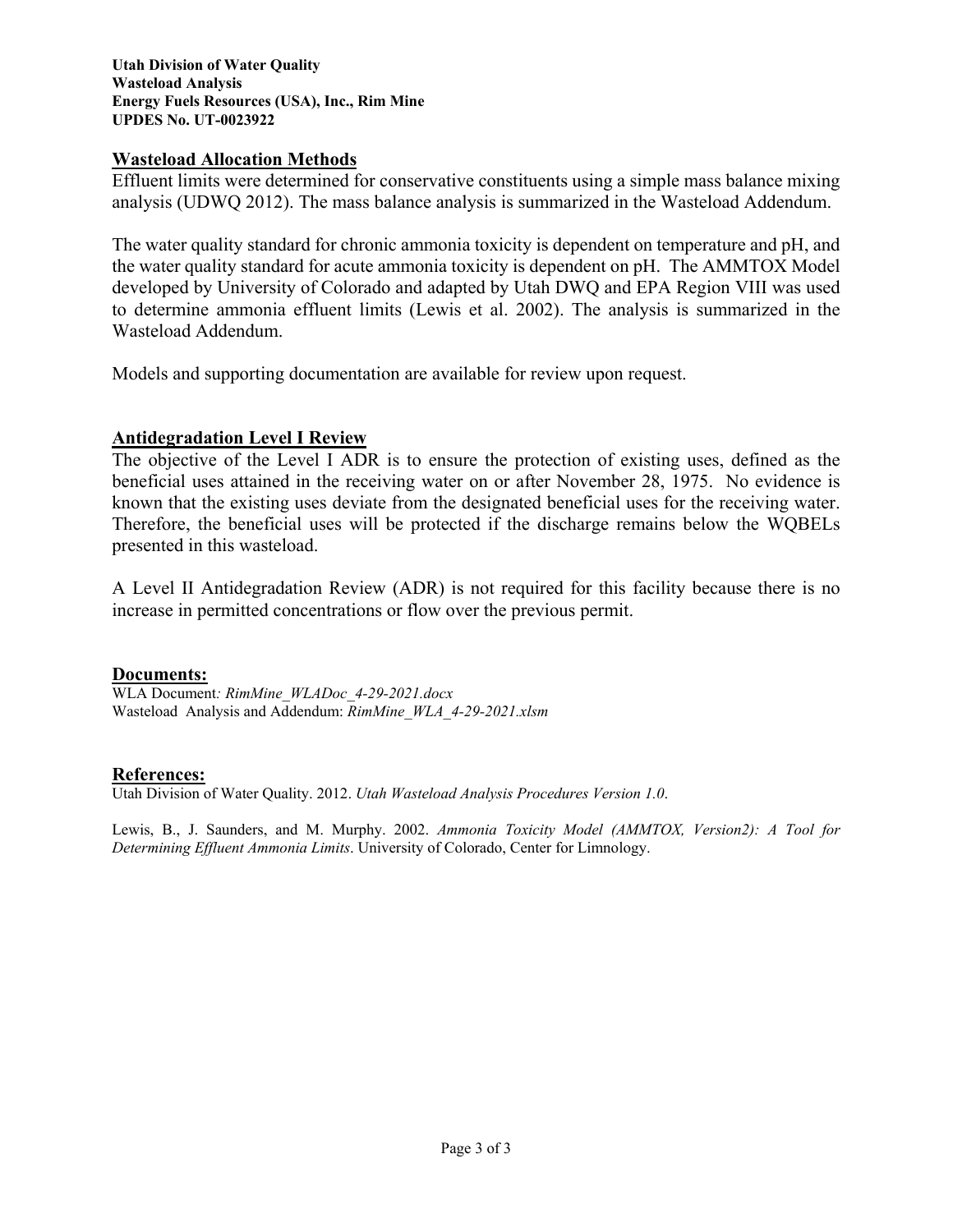#### **Utah Division of Water Quality Wasteload Analysis Energy Fuels Resources (USA), Inc., Rim Mine UPDES No. UT-0023922**

# **Wasteload Allocation Methods**

Effluent limits were determined for conservative constituents using a simple mass balance mixing analysis (UDWQ 2012). The mass balance analysis is summarized in the Wasteload Addendum.

The water quality standard for chronic ammonia toxicity is dependent on temperature and pH, and the water quality standard for acute ammonia toxicity is dependent on pH. The AMMTOX Model developed by University of Colorado and adapted by Utah DWQ and EPA Region VIII was used to determine ammonia effluent limits (Lewis et al. 2002). The analysis is summarized in the Wasteload Addendum.

Models and supporting documentation are available for review upon request.

### **Antidegradation Level I Review**

The objective of the Level I ADR is to ensure the protection of existing uses, defined as the beneficial uses attained in the receiving water on or after November 28, 1975. No evidence is known that the existing uses deviate from the designated beneficial uses for the receiving water. Therefore, the beneficial uses will be protected if the discharge remains below the WQBELs presented in this wasteload.

A Level II Antidegradation Review (ADR) is not required for this facility because there is no increase in permitted concentrations or flow over the previous permit.

### **Documents:**

WLA Document*: RimMine\_WLADoc\_4-29-2021.docx* Wasteload Analysis and Addendum: *RimMine\_WLA\_4-29-2021.xlsm*

### **References:**

Utah Division of Water Quality. 2012. *Utah Wasteload Analysis Procedures Version 1.0*.

Lewis, B., J. Saunders, and M. Murphy. 2002. *Ammonia Toxicity Model (AMMTOX, Version2): A Tool for Determining Effluent Ammonia Limits*. University of Colorado, Center for Limnology.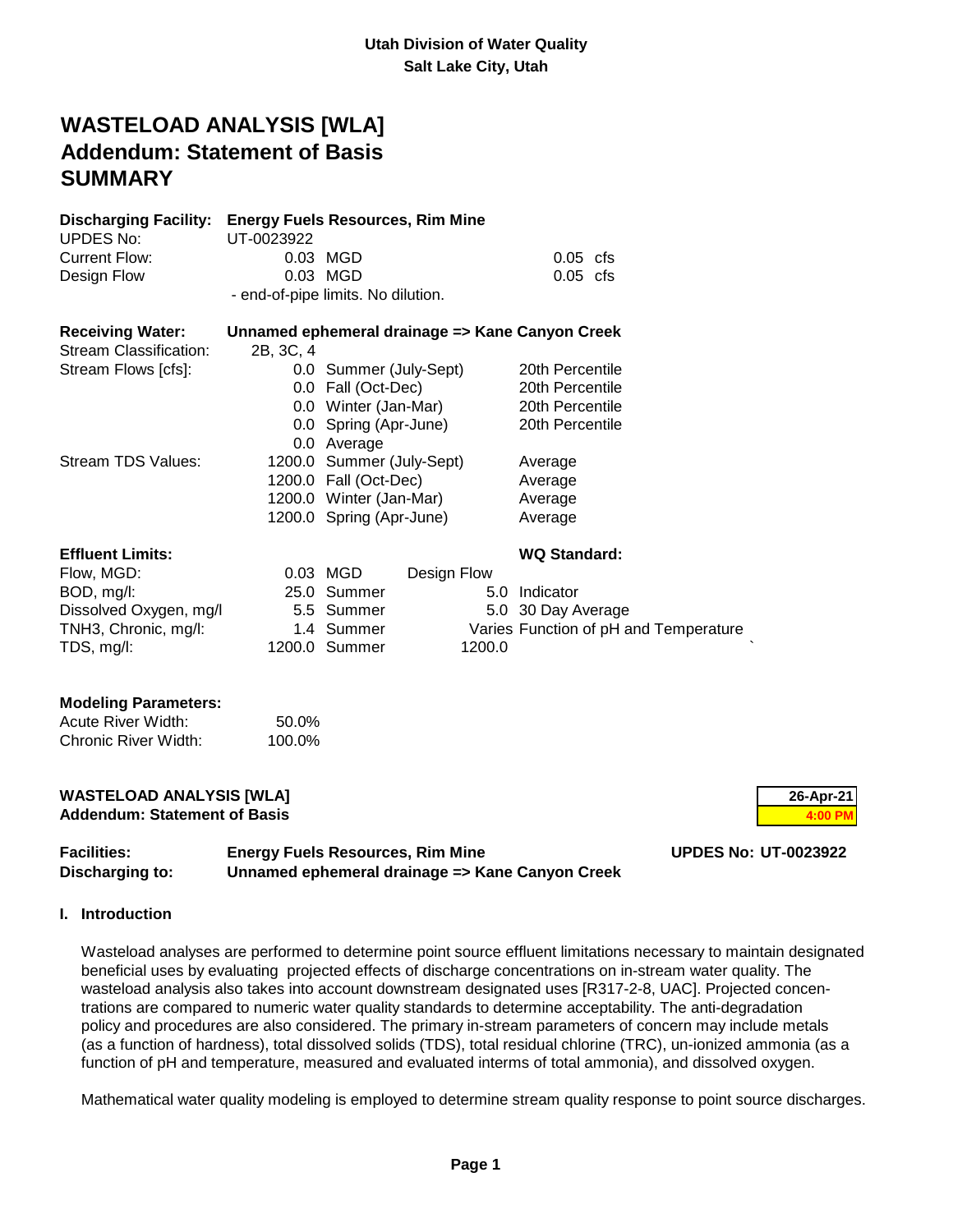# **WASTELOAD ANALYSIS [WLA] Addendum: Statement of Basis SUMMARY**

| <b>Discharging Facility:</b><br><b>UPDES No:</b> | <b>Energy Fuels Resources, Rim Mine</b><br>UT-0023922 |                           |             |        |                                                 |
|--------------------------------------------------|-------------------------------------------------------|---------------------------|-------------|--------|-------------------------------------------------|
| Current Flow:                                    |                                                       | 0.03 MGD                  |             |        | $0.05$ cfs                                      |
| Design Flow                                      |                                                       | 0.03 MGD                  |             |        | $0.05$ cfs                                      |
|                                                  | - end-of-pipe limits. No dilution.                    |                           |             |        |                                                 |
| <b>Receiving Water:</b>                          |                                                       |                           |             |        | Unnamed ephemeral drainage => Kane Canyon Creek |
| <b>Stream Classification:</b>                    | 2B, 3C, 4                                             |                           |             |        |                                                 |
| Stream Flows [cfs]:                              |                                                       | 0.0 Summer (July-Sept)    |             |        | 20th Percentile                                 |
|                                                  |                                                       | 0.0 Fall (Oct-Dec)        |             |        | 20th Percentile                                 |
|                                                  |                                                       | 0.0 Winter (Jan-Mar)      |             |        | 20th Percentile                                 |
|                                                  |                                                       | 0.0 Spring (Apr-June)     |             |        | 20th Percentile                                 |
|                                                  |                                                       | 0.0 Average               |             |        |                                                 |
| Stream TDS Values:                               |                                                       | 1200.0 Summer (July-Sept) |             |        | Average                                         |
|                                                  |                                                       | 1200.0 Fall (Oct-Dec)     |             |        | Average                                         |
|                                                  |                                                       | 1200.0 Winter (Jan-Mar)   |             |        | Average                                         |
|                                                  |                                                       | 1200.0 Spring (Apr-June)  |             |        | Average                                         |
| <b>Effluent Limits:</b>                          |                                                       |                           |             |        | <b>WQ Standard:</b>                             |
| Flow, MGD:                                       |                                                       | 0.03 MGD                  | Design Flow |        |                                                 |
| BOD, mg/l:                                       |                                                       | 25.0 Summer               |             | 5.0    | Indicator                                       |
| Dissolved Oxygen, mg/l.                          |                                                       | 5.5 Summer                |             |        | 5.0 30 Day Average                              |
| TNH3, Chronic, mg/l:                             |                                                       | 1.4 Summer                |             |        | Varies Function of pH and Temperature           |
| TDS, mg/l:                                       |                                                       | 1200.0 Summer             |             | 1200.0 |                                                 |
|                                                  |                                                       |                           |             |        |                                                 |

#### **Modeling Parameters:**

| Acute River Width:   | 50.0%  |
|----------------------|--------|
| Chronic River Width: | 100.0% |

#### **WASTELOAD ANALYSIS [WLA] 26-Apr-21 Addendum: Statement of Basis 4:00 PM 4:00 PM**



| <b>Facilities:</b> | <b>Energy Fuels Resources, Rim Mine</b>         | <b>UPDES No: UT-0023922</b> |
|--------------------|-------------------------------------------------|-----------------------------|
| Discharging to:    | Unnamed ephemeral drainage => Kane Canyon Creek |                             |

### **I. Introduction**

 Wasteload analyses are performed to determine point source effluent limitations necessary to maintain designated beneficial uses by evaluating projected effects of discharge concentrations on in-stream water quality. The wasteload analysis also takes into account downstream designated uses [R317-2-8, UAC]. Projected concen trations are compared to numeric water quality standards to determine acceptability. The anti-degradation policy and procedures are also considered. The primary in-stream parameters of concern may include metals (as a function of hardness), total dissolved solids (TDS), total residual chlorine (TRC), un-ionized ammonia (as a function of pH and temperature, measured and evaluated interms of total ammonia), and dissolved oxygen.

Mathematical water quality modeling is employed to determine stream quality response to point source discharges.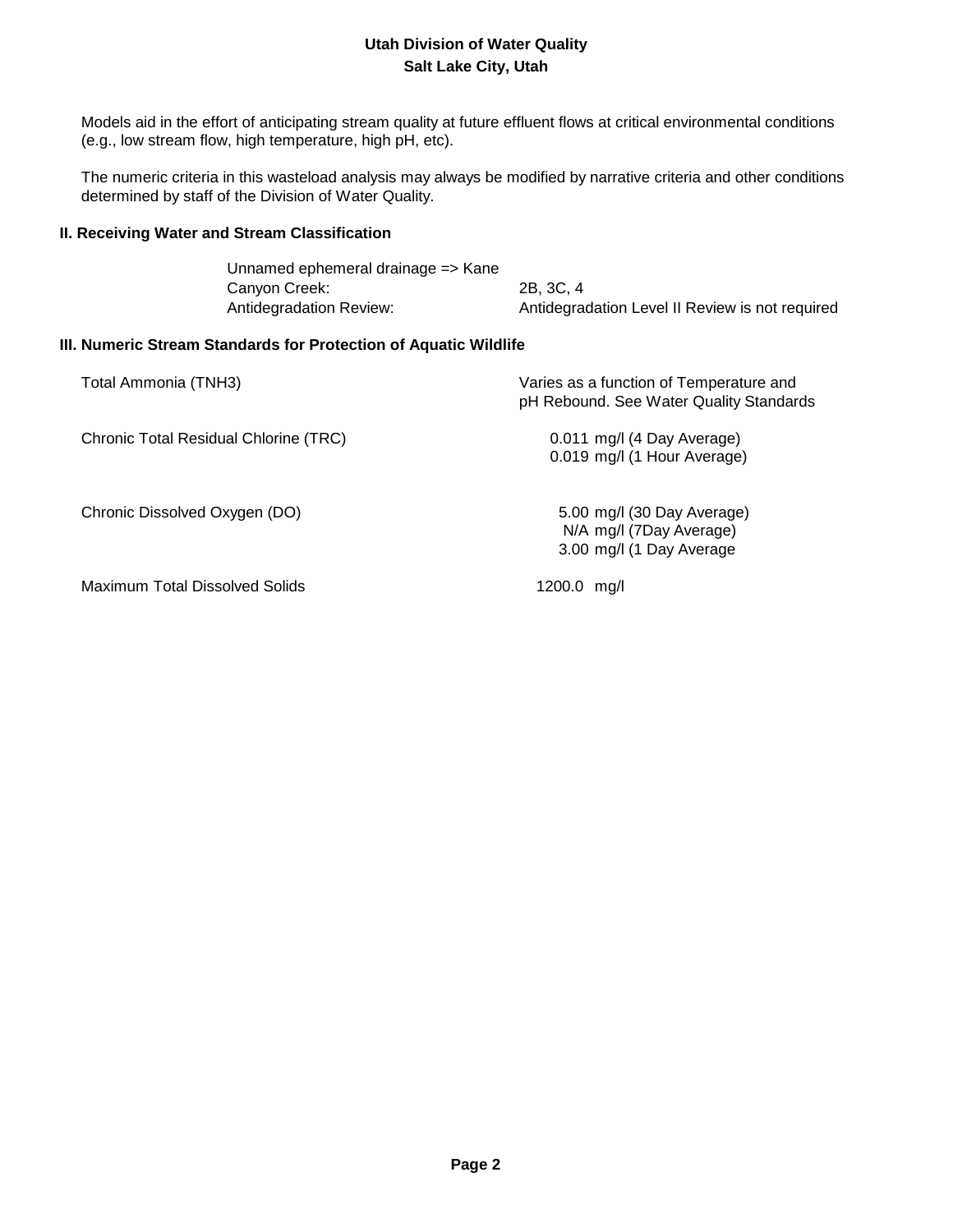Models aid in the effort of anticipating stream quality at future effluent flows at critical environmental conditions (e.g., low stream flow, high temperature, high pH, etc).

 The numeric criteria in this wasteload analysis may always be modified by narrative criteria and other conditions determined by staff of the Division of Water Quality.

### **II. Receiving Water and Stream Classification**

| Unnamed ephemeral drainage => Kane |                                                 |
|------------------------------------|-------------------------------------------------|
| Canyon Creek:                      | 2B, 3C, 4                                       |
| Antidegradation Review:            | Antidegradation Level II Review is not required |

### **III. Numeric Stream Standards for Protection of Aquatic Wildlife**

| Total Ammonia (TNH3)                  | Varies as a function of Temperature and<br>pH Rebound. See Water Quality Standards |
|---------------------------------------|------------------------------------------------------------------------------------|
| Chronic Total Residual Chlorine (TRC) | 0.011 mg/l (4 Day Average)<br>0.019 mg/l (1 Hour Average)                          |
| Chronic Dissolved Oxygen (DO)         | 5.00 mg/l (30 Day Average)<br>N/A mg/l (7Day Average)<br>3.00 mg/l (1 Day Average  |
| Maximum Total Dissolved Solids        | 1200.0 ma/l                                                                        |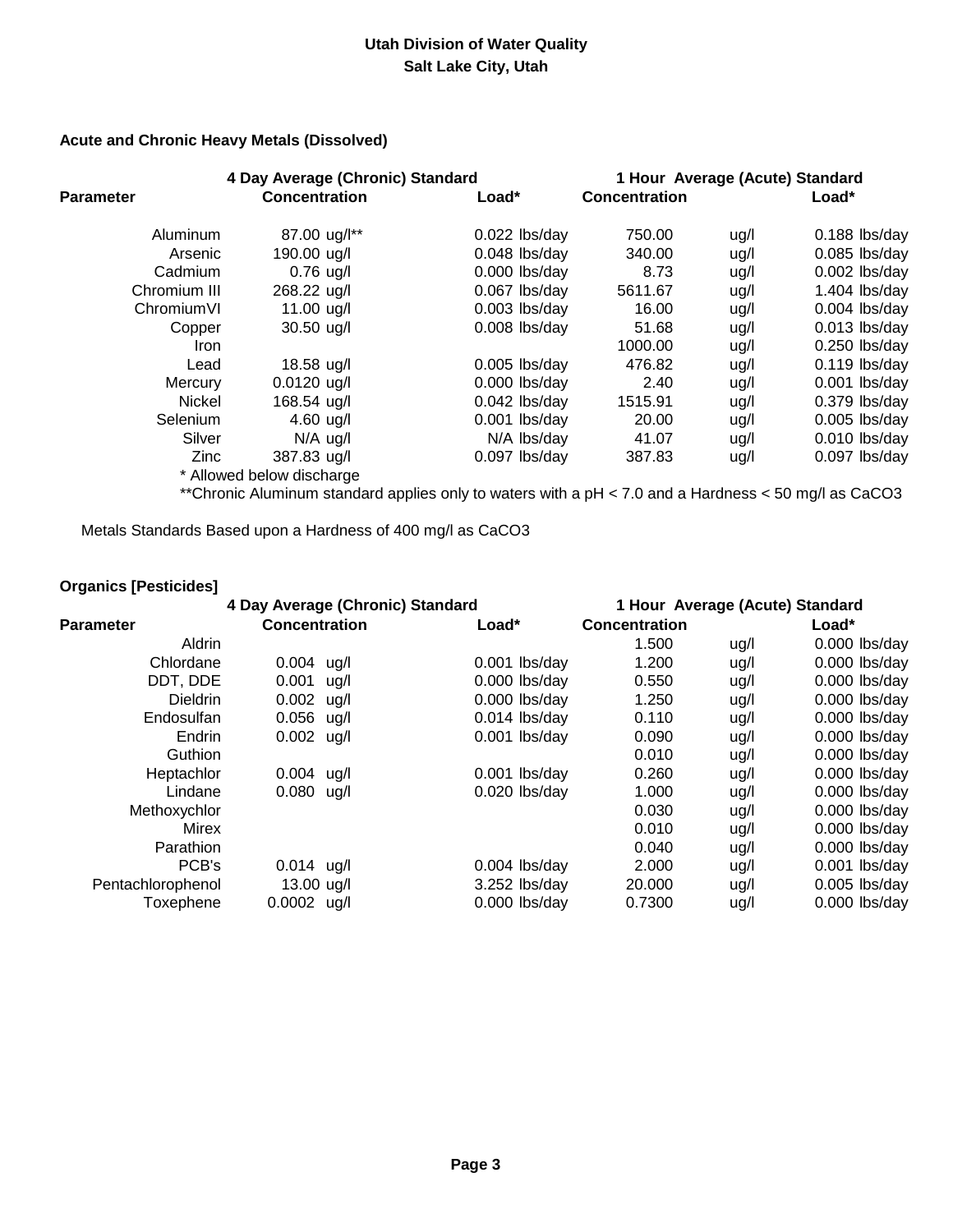### **Acute and Chronic Heavy Metals (Dissolved)**

| 4 Day Average (Chronic) Standard |                           | 1 Hour Average (Acute) Standard |               |      |                 |
|----------------------------------|---------------------------|---------------------------------|---------------|------|-----------------|
| <b>Parameter</b>                 | <b>Concentration</b>      | Load*                           | Concentration |      | Load*           |
| Aluminum                         | 87.00 ug/l**              | $0.022$ lbs/day                 | 750.00        | ug/l | $0.188$ lbs/day |
| Arsenic                          | 190.00 ug/l               | $0.048$ lbs/day                 | 340.00        | ug/l | $0.085$ lbs/day |
| Cadmium                          | $0.76$ ug/l               | $0.000$ lbs/day                 | 8.73          | ug/l | $0.002$ lbs/day |
| Chromium III                     | 268.22 ug/l               | $0.067$ lbs/day                 | 5611.67       | ug/l | $1.404$ lbs/day |
| ChromiumVI                       | 11.00 ug/l                | $0.003$ lbs/day                 | 16.00         | ug/l | $0.004$ lbs/day |
| Copper                           | 30.50 ug/l                | $0.008$ lbs/day                 | 51.68         | ug/l | $0.013$ lbs/day |
| <b>Iron</b>                      |                           |                                 | 1000.00       | ug/l | 0.250 lbs/day   |
| Lead                             | 18.58 ug/l                | $0.005$ lbs/day                 | 476.82        | ug/l | $0.119$ lbs/day |
| Mercury                          | $0.0120$ ug/l             | $0.000$ lbs/day                 | 2.40          | ug/l | $0.001$ lbs/day |
| <b>Nickel</b>                    | 168.54 ug/l               | $0.042$ lbs/day                 | 1515.91       | ug/l | 0.379 lbs/day   |
| Selenium                         | 4.60 $\mu$ g/l            | $0.001$ lbs/day                 | 20.00         | ug/l | $0.005$ lbs/day |
| Silver                           | $N/A$ ug/l                | N/A lbs/day                     | 41.07         | ug/l | 0.010 lbs/day   |
| Zinc                             | 387.83 ug/l               | $0.097$ lbs/day                 | 387.83        | ug/l | 0.097 lbs/day   |
|                                  | * Allowed below discharge |                                 |               |      |                 |

\*\*Chronic Aluminum standard applies only to waters with a pH < 7.0 and a Hardness < 50 mg/l as CaCO3

Metals Standards Based upon a Hardness of 400 mg/l as CaCO3

# **Organics [Pesticides]**

|                   | 4 Day Average (Chronic) Standard |  |                 |                      | 1 Hour Average (Acute) Standard |         |                 |
|-------------------|----------------------------------|--|-----------------|----------------------|---------------------------------|---------|-----------------|
| <b>Parameter</b>  | <b>Concentration</b>             |  | Load*           | <b>Concentration</b> |                                 | $Load*$ |                 |
| <b>Aldrin</b>     |                                  |  |                 | 1.500                | ug/l                            |         | $0.000$ lbs/day |
| Chlordane         | $0.004$ ug/l                     |  | $0.001$ lbs/day | 1.200                | ug/l                            |         | $0.000$ lbs/day |
| DDT, DDE          | $0.001$ ug/l                     |  | $0.000$ lbs/day | 0.550                | ug/l                            |         | 0.000 lbs/day   |
| <b>Dieldrin</b>   | $0.002$ ug/l                     |  | $0.000$ lbs/day | 1.250                | ug/l                            |         | 0.000 lbs/day   |
| Endosulfan        | $0.056$ ug/l                     |  | $0.014$ lbs/day | 0.110                | ug/l                            |         | 0.000 lbs/day   |
| Endrin            | $0.002$ ug/l                     |  | $0.001$ lbs/day | 0.090                | ug/l                            |         | 0.000 lbs/day   |
| Guthion           |                                  |  |                 | 0.010                | ug/l                            |         | $0.000$ lbs/day |
| Heptachlor        | $0.004$ ug/l                     |  | $0.001$ lbs/day | 0.260                | ug/l                            |         | $0.000$ lbs/day |
| Lindane           | $0.080$ ug/l                     |  | $0.020$ lbs/day | 1.000                | ug/l                            |         | $0.000$ lbs/day |
| Methoxychlor      |                                  |  |                 | 0.030                | ug/l                            |         | $0.000$ lbs/day |
| Mirex             |                                  |  |                 | 0.010                | ug/l                            |         | 0.000 lbs/day   |
| Parathion         |                                  |  |                 | 0.040                | ug/l                            |         | 0.000 lbs/day   |
| PCB's             | $0.014$ ug/l                     |  | $0.004$ lbs/day | 2.000                | ug/l                            |         | $0.001$ lbs/day |
| Pentachlorophenol | 13.00 ug/l                       |  | $3.252$ lbs/day | 20,000               | ug/l                            |         | $0.005$ lbs/day |
| Toxephene         | $0.0002$ ug/l                    |  | $0.000$ lbs/day | 0.7300               | ug/l                            |         | 0.000 lbs/day   |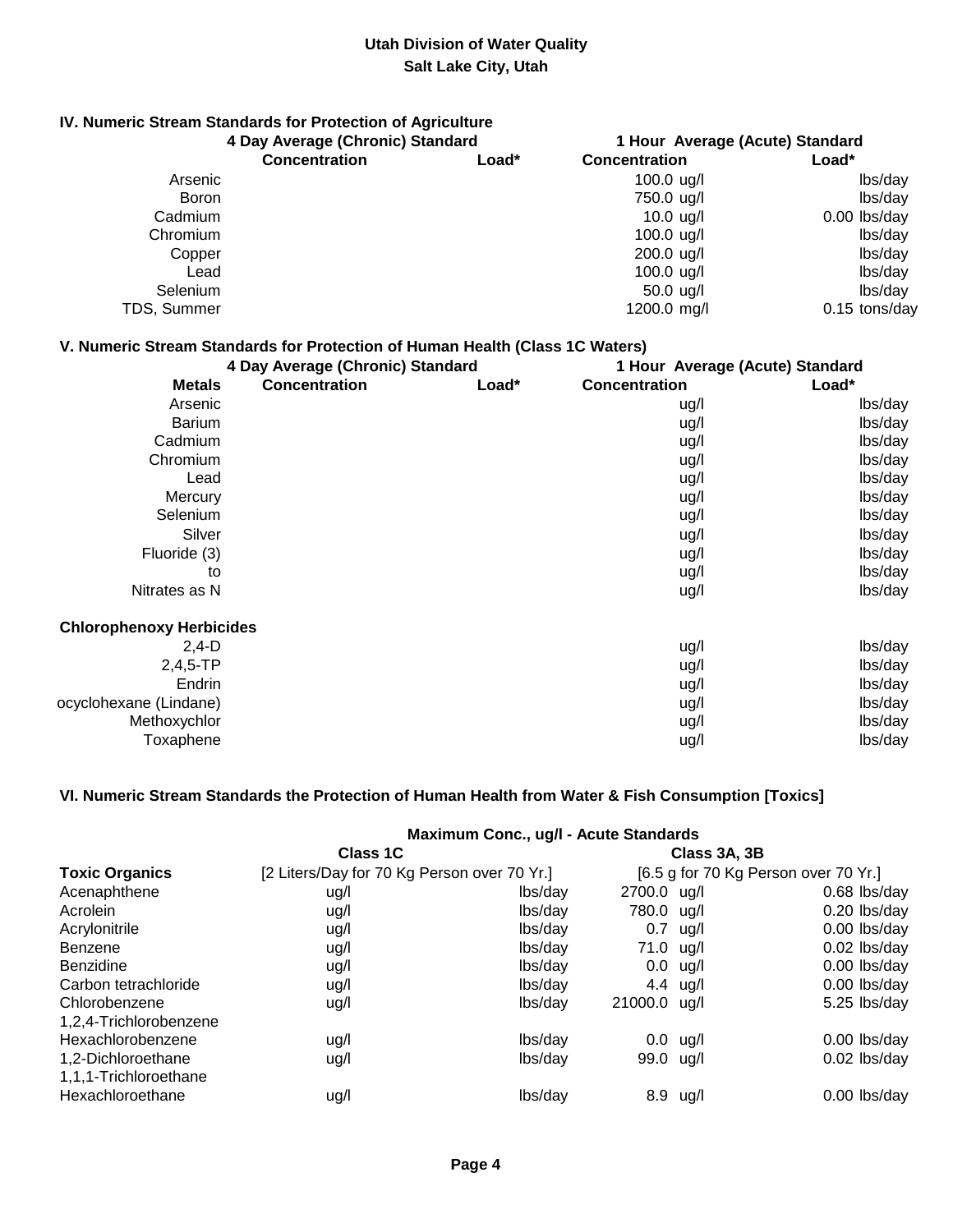# **IV. Numeric Stream Standards for Protection of Agriculture**

|             | 4 Day Average (Chronic) Standard |       | 1 Hour Average (Acute) Standard |                 |
|-------------|----------------------------------|-------|---------------------------------|-----------------|
|             | <b>Concentration</b>             | Load* | <b>Concentration</b>            | Load*           |
| Arsenic     |                                  |       | 100.0 $\mu$ g/l                 | lbs/day         |
| Boron       |                                  |       | 750.0 ug/l                      | lbs/day         |
| Cadmium     |                                  |       | 10.0 $\mu$ g/l                  | $0.00$ lbs/day  |
| Chromium    |                                  |       | 100.0 $\mu$ g/l                 | lbs/day         |
| Copper      |                                  |       | $200.0$ ug/l                    | lbs/day         |
| Lead        |                                  |       | 100.0 $\mu$ g/l                 | lbs/day         |
| Selenium    |                                  |       | $50.0 \text{ u}g/l$             | lbs/day         |
| TDS, Summer |                                  |       | 1200.0 mg/l                     | $0.15$ tons/day |

# **V. Numeric Stream Standards for Protection of Human Health (Class 1C Waters)**

|                                 | 4 Day Average (Chronic) Standard |       | 1 Hour Average (Acute) Standard |         |  |
|---------------------------------|----------------------------------|-------|---------------------------------|---------|--|
| <b>Metals</b>                   | <b>Concentration</b>             | Load* | <b>Concentration</b>            | $Load*$ |  |
| Arsenic                         |                                  |       | ug/l                            | lbs/day |  |
| <b>Barium</b>                   |                                  |       | ug/l                            | lbs/day |  |
| Cadmium                         |                                  |       | ug/l                            | lbs/day |  |
| Chromium                        |                                  |       | ug/l                            | lbs/day |  |
| Lead                            |                                  |       | ug/l                            | lbs/day |  |
| Mercury                         |                                  |       | ug/l                            | lbs/day |  |
| Selenium                        |                                  |       | ug/l                            | lbs/day |  |
| Silver                          |                                  |       | ug/l                            | lbs/day |  |
| Fluoride (3)                    |                                  |       | ug/l                            | lbs/day |  |
| to                              |                                  |       | ug/l                            | lbs/day |  |
| Nitrates as N                   |                                  |       | ug/l                            | lbs/day |  |
| <b>Chlorophenoxy Herbicides</b> |                                  |       |                                 |         |  |
| $2,4-D$                         |                                  |       | ug/l                            | lbs/day |  |
| $2,4,5$ -TP                     |                                  |       | ug/l                            | lbs/day |  |
| Endrin                          |                                  |       | ug/l                            | lbs/day |  |
| ocyclohexane (Lindane)          |                                  |       | ug/l                            | lbs/day |  |
| Methoxychlor                    |                                  |       | ug/l                            | lbs/day |  |
| Toxaphene                       |                                  |       | ug/l                            | lbs/day |  |

### **VI. Numeric Stream Standards the Protection of Human Health from Water & Fish Consumption [Toxics]**

|                                             |                                             | Maximum Conc., ug/l - Acute Standards |                                      |               |                |  |
|---------------------------------------------|---------------------------------------------|---------------------------------------|--------------------------------------|---------------|----------------|--|
|                                             | Class <sub>1</sub> C                        |                                       | Class 3A, 3B                         |               |                |  |
| <b>Toxic Organics</b>                       | [2 Liters/Day for 70 Kg Person over 70 Yr.] |                                       | [6.5 g for 70 Kg Person over 70 Yr.] |               |                |  |
| Acenaphthene                                | ug/l                                        | lbs/day                               | 2700.0 ug/l                          |               | 0.68 lbs/day   |  |
| Acrolein                                    | ug/l                                        | lbs/day                               | 780.0 ug/l                           |               | 0.20 lbs/day   |  |
| Acrylonitrile                               | ug/l                                        | lbs/day                               | 0.7                                  | ug/l          | 0.00 lbs/day   |  |
| Benzene                                     | ug/l                                        | lbs/day                               | 71.0 ug/l                            |               | 0.02 lbs/day   |  |
| <b>Benzidine</b>                            | ug/l                                        | lbs/day                               |                                      | $0.0$ ug/l    | 0.00 lbs/day   |  |
| Carbon tetrachloride                        | ug/l                                        | lbs/day                               |                                      | 4.4 $\mu$ g/l | 0.00 lbs/day   |  |
| Chlorobenzene                               | ug/l                                        | lbs/day                               | 21000.0 ug/l                         |               | 5.25 lbs/day   |  |
| 1,2,4-Trichlorobenzene                      |                                             |                                       |                                      |               |                |  |
| Hexachlorobenzene                           | ug/l                                        | lbs/day                               |                                      | $0.0$ ug/l    | $0.00$ lbs/day |  |
| 1,2-Dichloroethane<br>1,1,1-Trichloroethane | ug/l                                        | lbs/day                               | 99.0 ug/l                            |               | $0.02$ lbs/day |  |
| Hexachloroethane                            | ug/l                                        | lbs/day                               |                                      | 8.9 ug/l      | 0.00 lbs/day   |  |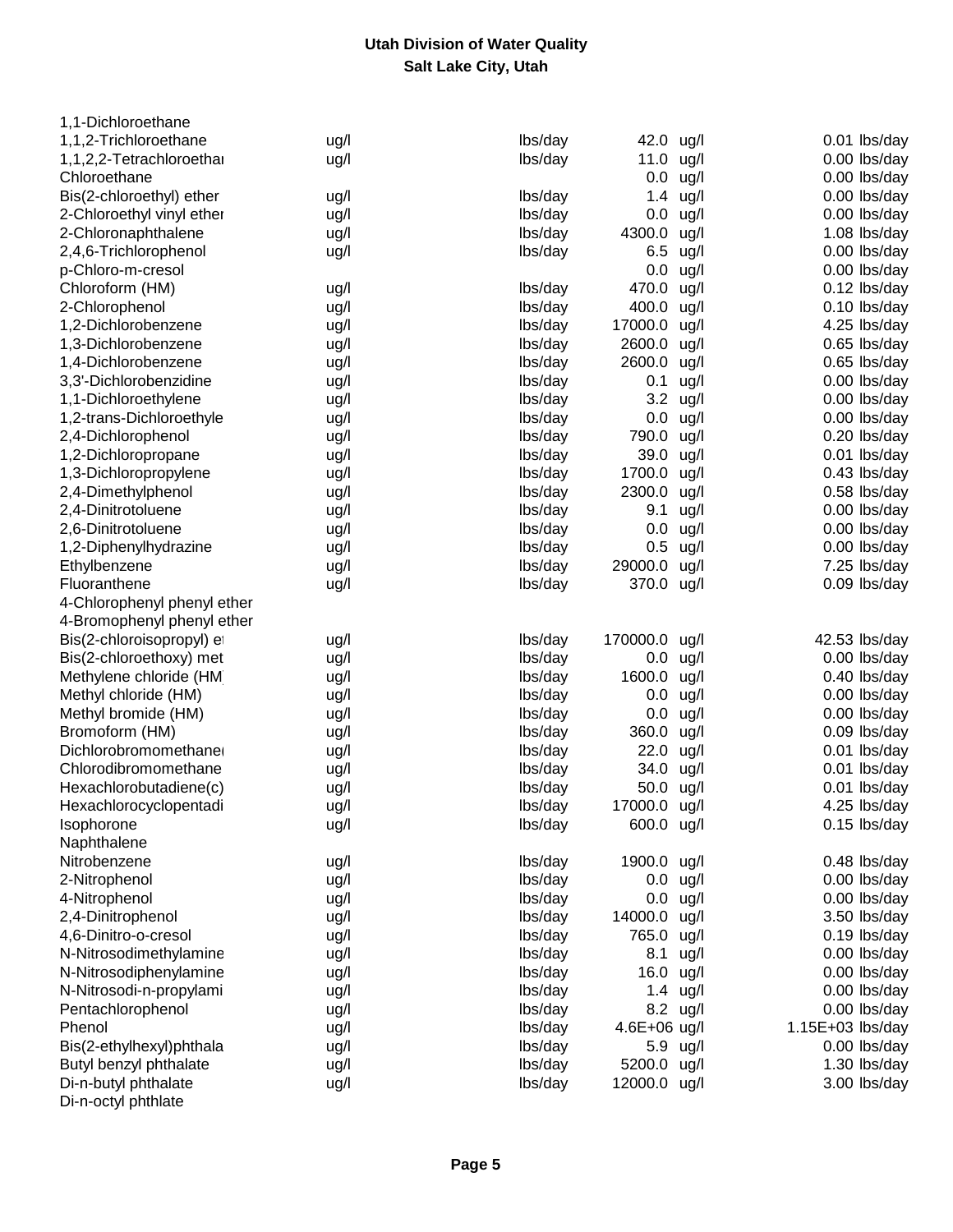| 1,1-Dichloroethane          |      |         |              |               |                  |
|-----------------------------|------|---------|--------------|---------------|------------------|
| 1,1,2-Trichloroethane       | ug/l | lbs/day | 42.0         | ug/l          | 0.01 lbs/day     |
| 1,1,2,2-Tetrachloroethar    | ug/l | lbs/day | 11.0         | ug/l          | 0.00 lbs/day     |
| Chloroethane                |      |         | 0.0          | ug/l          | 0.00 lbs/day     |
| Bis(2-chloroethyl) ether    | ug/l | lbs/day | 1.4          | ug/l          | 0.00 lbs/day     |
| 2-Chloroethyl vinyl ether   | ug/l | lbs/day | 0.0          | ug/l          | 0.00 lbs/day     |
| 2-Chloronaphthalene         | ug/l | lbs/day | 4300.0       | ug/l          | 1.08 lbs/day     |
| 2,4,6-Trichlorophenol       | ug/l | lbs/day | 6.5          | ug/l          | 0.00 lbs/day     |
| p-Chloro-m-cresol           |      |         | 0.0          | ug/l          | 0.00 lbs/day     |
| Chloroform (HM)             | ug/l | lbs/day | 470.0        | ug/l          | 0.12 lbs/day     |
| 2-Chlorophenol              | ug/l | lbs/day | 400.0        | ug/l          | 0.10 lbs/day     |
| 1,2-Dichlorobenzene         | ug/l | lbs/day | 17000.0      | ug/l          | 4.25 lbs/day     |
| 1,3-Dichlorobenzene         | ug/l | lbs/day | 2600.0       | ug/l          | 0.65 lbs/day     |
| 1,4-Dichlorobenzene         | ug/l | lbs/day | 2600.0 ug/l  |               | 0.65 lbs/day     |
| 3,3'-Dichlorobenzidine      | ug/l | lbs/day | 0.1          | ug/l          | 0.00 lbs/day     |
| 1,1-Dichloroethylene        | ug/l | lbs/day |              | 3.2 ug/l      | 0.00 lbs/day     |
| 1,2-trans-Dichloroethyle    | ug/l | lbs/day | 0.0          | ug/l          | 0.00 lbs/day     |
| 2,4-Dichlorophenol          | ug/l | lbs/day | 790.0        | ug/l          | 0.20 lbs/day     |
| 1,2-Dichloropropane         | ug/l | lbs/day | 39.0         | ug/l          | 0.01 lbs/day     |
| 1,3-Dichloropropylene       | ug/l | lbs/day | 1700.0       | ug/l          | 0.43 lbs/day     |
| 2,4-Dimethylphenol          | ug/l | lbs/day | 2300.0 ug/l  |               | 0.58 lbs/day     |
| 2,4-Dinitrotoluene          | ug/l | lbs/day | 9.1          | ug/l          | 0.00 lbs/day     |
| 2,6-Dinitrotoluene          | ug/l | lbs/day | 0.0          | ug/l          | 0.00 lbs/day     |
| 1,2-Diphenylhydrazine       | ug/l | lbs/day |              | $0.5$ ug/l    | 0.00 lbs/day     |
| Ethylbenzene                | ug/l | lbs/day | 29000.0      | ug/l          | 7.25 lbs/day     |
| Fluoranthene                | ug/l | lbs/day | 370.0 ug/l   |               | 0.09 lbs/day     |
| 4-Chlorophenyl phenyl ether |      |         |              |               |                  |
| 4-Bromophenyl phenyl ether  |      |         |              |               |                  |
| Bis(2-chloroisopropyl) et   | ug/l | lbs/day | 170000.0     | ug/l          | 42.53 lbs/day    |
| Bis(2-chloroethoxy) met     | ug/l | lbs/day | $0.0\,$      | ug/l          | 0.00 lbs/day     |
| Methylene chloride (HM      | ug/l | lbs/day | 1600.0       | ug/l          | 0.40 lbs/day     |
| Methyl chloride (HM)        | ug/l | lbs/day | 0.0          | ug/l          | 0.00 lbs/day     |
| Methyl bromide (HM)         | ug/l | lbs/day | 0.0          | ug/l          | 0.00 lbs/day     |
| Bromoform (HM)              | ug/l | lbs/day | 360.0        | ug/l          | 0.09 lbs/day     |
| Dichlorobromomethane        | ug/l | lbs/day | 22.0         | ug/l          | 0.01 lbs/day     |
| Chlorodibromomethane        | ug/l | lbs/day | 34.0         | ug/l          | 0.01 lbs/day     |
| Hexachlorobutadiene(c)      | ug/l | lbs/day | 50.0 ug/l    |               | 0.01 lbs/day     |
| Hexachlorocyclopentadi      | ug/l | lbs/day | 17000.0 ug/l |               | 4.25 lbs/day     |
| Isophorone                  | ug/l | lbs/day | 600.0 ug/l   |               | 0.15 lbs/day     |
| Naphthalene                 |      |         |              |               |                  |
| Nitrobenzene                | ug/l | lbs/day | 1900.0 ug/l  |               | 0.48 lbs/day     |
| 2-Nitrophenol               | ug/l | lbs/day |              | $0.0$ ug/l    | 0.00 lbs/day     |
| 4-Nitrophenol               | ug/l | lbs/day |              | $0.0$ ug/l    | 0.00 lbs/day     |
| 2,4-Dinitrophenol           | ug/l | lbs/day | 14000.0 ug/l |               | 3.50 lbs/day     |
| 4,6-Dinitro-o-cresol        | ug/l | lbs/day | 765.0 ug/l   |               | 0.19 lbs/day     |
| N-Nitrosodimethylamine      | ug/l | lbs/day | 8.1          | ug/l          | 0.00 lbs/day     |
| N-Nitrosodiphenylamine      | ug/l | lbs/day | 16.0 ug/l    |               | 0.00 lbs/day     |
| N-Nitrosodi-n-propylami     | ug/l | lbs/day |              | 1.4 $\mu$ g/l | 0.00 lbs/day     |
| Pentachlorophenol           | ug/l | lbs/day |              | 8.2 ug/l      | 0.00 lbs/day     |
| Phenol                      | ug/l | lbs/day | 4.6E+06 ug/l |               | 1.15E+03 lbs/day |
| Bis(2-ethylhexyl)phthala    | ug/l | lbs/day |              | 5.9 ug/l      | 0.00 lbs/day     |
| Butyl benzyl phthalate      | ug/l | lbs/day | 5200.0 ug/l  |               | 1.30 lbs/day     |
| Di-n-butyl phthalate        | ug/l | lbs/day | 12000.0 ug/l |               | 3.00 lbs/day     |
| Di-n-octyl phthlate         |      |         |              |               |                  |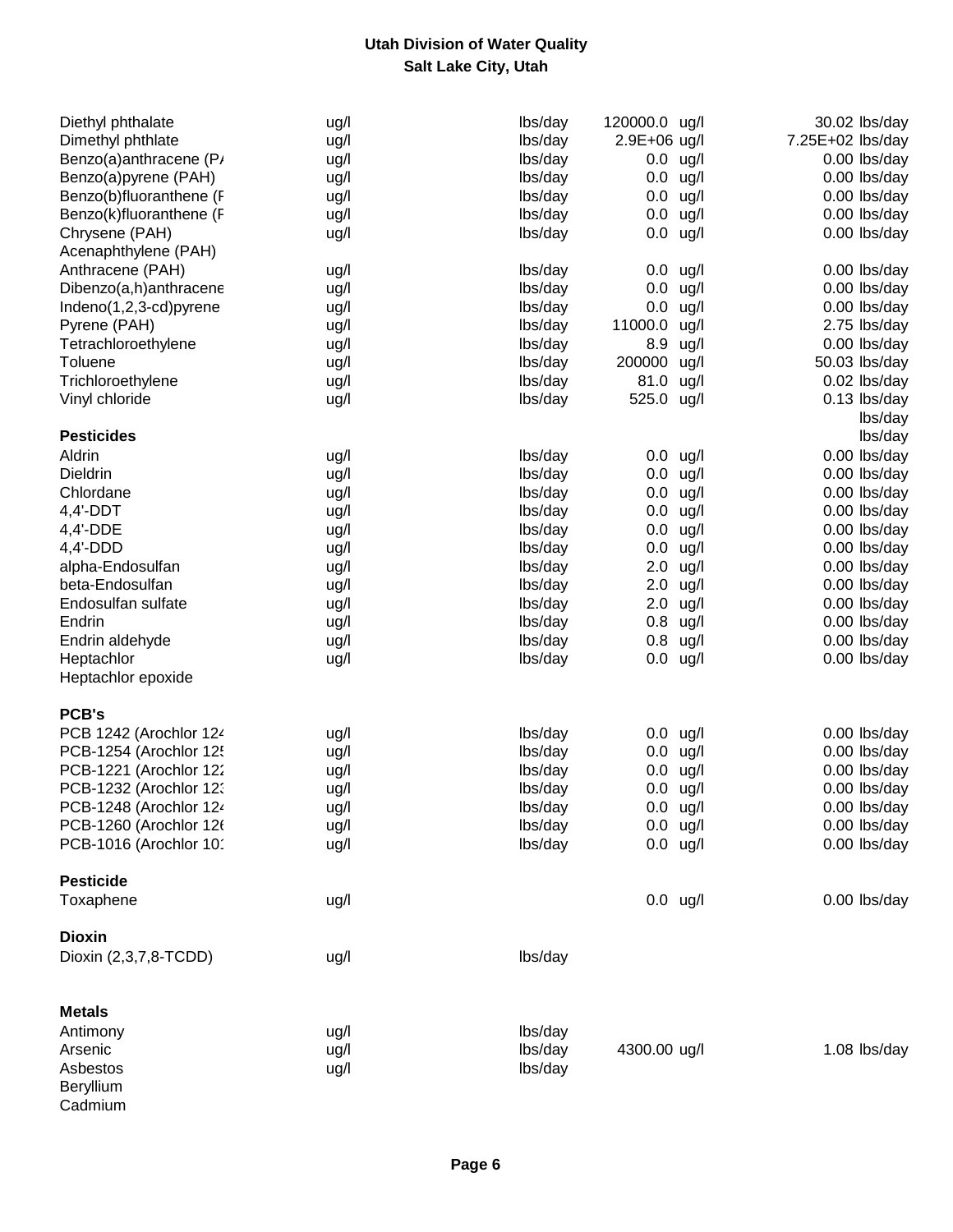| Diethyl phthalate       | ug/l | lbs/day | 120000.0 ug/l |            | 30.02 lbs/day    |
|-------------------------|------|---------|---------------|------------|------------------|
| Dimethyl phthlate       | ug/l | lbs/day | 2.9E+06 ug/l  |            | 7.25E+02 lbs/day |
| Benzo(a)anthracene (P/  | ug/l | lbs/day | $0.0$ ug/l    |            | 0.00 lbs/day     |
| Benzo(a)pyrene (PAH)    | ug/l | lbs/day | $0.0$ ug/l    |            | 0.00 lbs/day     |
| Benzo(b)fluoranthene (F | ug/l | lbs/day | $0.0$ ug/l    |            | 0.00 lbs/day     |
| Benzo(k)fluoranthene (F | ug/l | lbs/day | $0.0\,$       | ug/l       | 0.00 lbs/day     |
| Chrysene (PAH)          | ug/l | lbs/day | $0.0$ ug/l    |            | 0.00 lbs/day     |
| Acenaphthylene (PAH)    |      |         |               |            |                  |
| Anthracene (PAH)        | ug/l | lbs/day | $0.0$ ug/l    |            | 0.00 lbs/day     |
| Dibenzo(a,h)anthracene  | ug/l | lbs/day | $0.0$ ug/l    |            | 0.00 lbs/day     |
| Indeno(1,2,3-cd)pyrene  | ug/l | lbs/day | $0.0$ ug/l    |            | 0.00 lbs/day     |
| Pyrene (PAH)            | ug/l | lbs/day | 11000.0 ug/l  |            | 2.75 lbs/day     |
| Tetrachloroethylene     | ug/l | lbs/day | 8.9 ug/l      |            | 0.00 lbs/day     |
| Toluene                 | ug/l | lbs/day | 200000 ug/l   |            | 50.03 lbs/day    |
| Trichloroethylene       | ug/l | lbs/day | 81.0 ug/l     |            | 0.02 lbs/day     |
| Vinyl chloride          | ug/l | lbs/day | 525.0 ug/l    |            | 0.13 lbs/day     |
|                         |      |         |               |            | lbs/day          |
| <b>Pesticides</b>       |      |         |               |            | lbs/day          |
| Aldrin                  | ug/l | lbs/day | $0.0$ ug/l    |            | 0.00 lbs/day     |
| Dieldrin                | ug/l | lbs/day | $0.0$ ug/l    |            | 0.00 lbs/day     |
| Chlordane               | ug/l | lbs/day | $0.0$ ug/l    |            | 0.00 lbs/day     |
| $4,4'$ -DDT             | ug/l | lbs/day | $0.0$ ug/l    |            | 0.00 lbs/day     |
| 4,4'-DDE                | ug/l | lbs/day | $0.0$ ug/l    |            | 0.00 lbs/day     |
| $4,4'-DDD$              | ug/l | lbs/day | $0.0$ ug/l    |            | 0.00 lbs/day     |
| alpha-Endosulfan        | ug/l | lbs/day |               | $2.0$ ug/l | 0.00 lbs/day     |
| beta-Endosulfan         | ug/l | lbs/day |               | $2.0$ ug/l | 0.00 lbs/day     |
| Endosulfan sulfate      | ug/l | lbs/day |               | $2.0$ ug/l | 0.00 lbs/day     |
| Endrin                  | ug/l | lbs/day | $0.8$ ug/l    |            | 0.00 lbs/day     |
| Endrin aldehyde         | ug/l | lbs/day | $0.8$ ug/l    |            | 0.00 lbs/day     |
| Heptachlor              | ug/l | lbs/day | $0.0$ ug/l    |            | 0.00 lbs/day     |
| Heptachlor epoxide      |      |         |               |            |                  |
|                         |      |         |               |            |                  |
| <b>PCB's</b>            |      |         |               |            |                  |
| PCB 1242 (Arochlor 124  | ug/l | lbs/day | $0.0$ ug/l    |            | 0.00 lbs/day     |
| PCB-1254 (Arochlor 125  | ug/l | lbs/day | $0.0$ ug/l    |            | 0.00 lbs/day     |
| PCB-1221 (Arochlor 122  | ug/l | lbs/day | $0.0$ ug/l    |            | 0.00 lbs/day     |
| PCB-1232 (Arochlor 12)  | ug/l | lbs/day | $0.0$ ug/l    |            | 0.00 lbs/day     |
| PCB-1248 (Arochlor 124  | ug/l | lbs/day | $0.0$ ug/l    |            | 0.00 lbs/day     |
| PCB-1260 (Arochlor 126  | ug/l | lbs/day | $0.0$ ug/l    |            | 0.00 lbs/day     |
| PCB-1016 (Arochlor 101  | ug/l | lbs/day |               | $0.0$ ug/l | 0.00 lbs/day     |
| <b>Pesticide</b>        |      |         |               |            |                  |
| Toxaphene               | ug/l |         | $0.0$ ug/l    |            | 0.00 lbs/day     |
|                         |      |         |               |            |                  |
| <b>Dioxin</b>           |      |         |               |            |                  |
| Dioxin (2,3,7,8-TCDD)   | ug/l | lbs/day |               |            |                  |
|                         |      |         |               |            |                  |
| <b>Metals</b>           |      |         |               |            |                  |
| Antimony                | ug/l | lbs/day |               |            |                  |
| Arsenic                 | ug/l | lbs/day | 4300.00 ug/l  |            | 1.08 lbs/day     |
| Asbestos                | ug/l | lbs/day |               |            |                  |
| Beryllium               |      |         |               |            |                  |
| Cadmium                 |      |         |               |            |                  |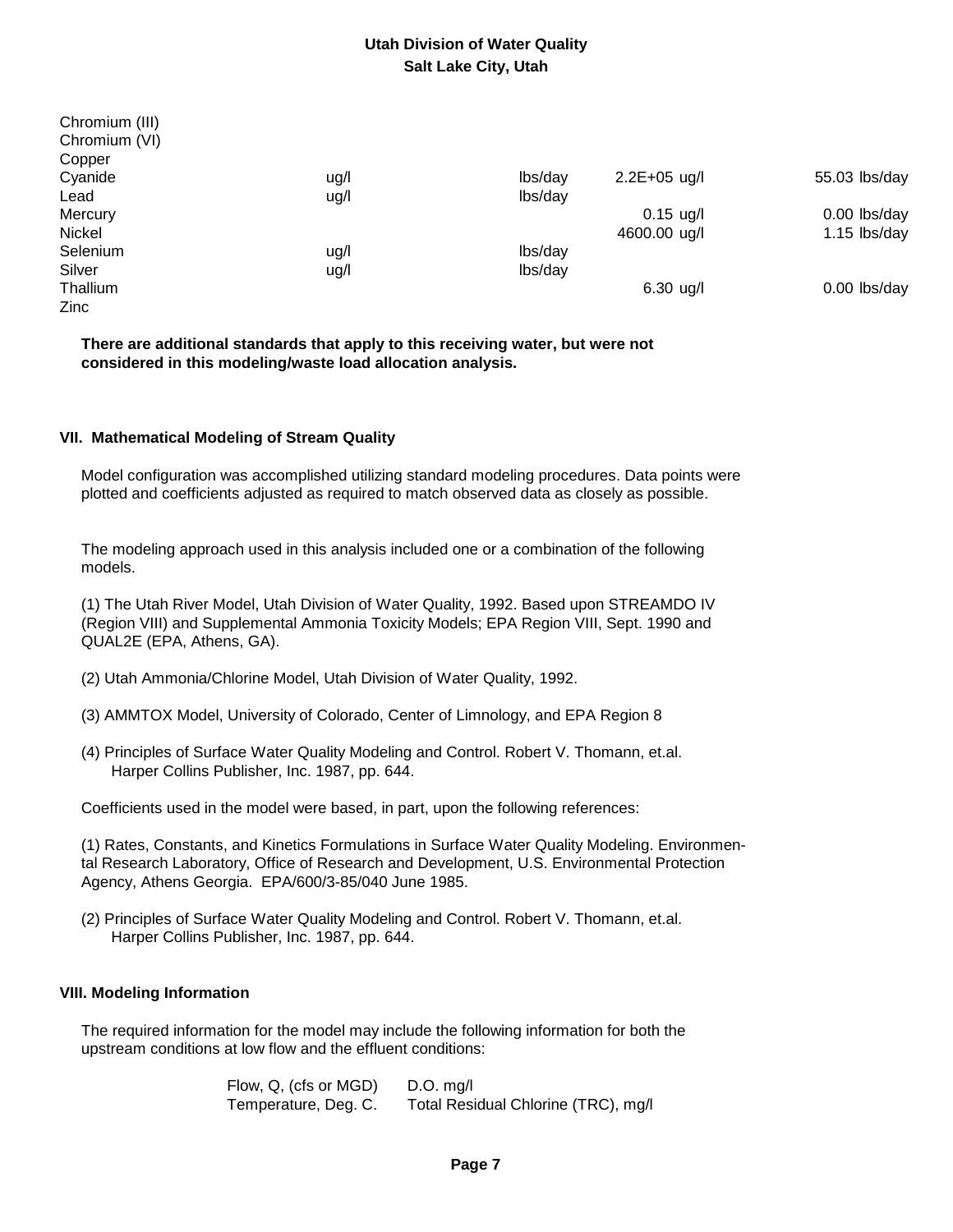| ug/l | lbs/day | $2.2E + 05$ ug/l | 55.03 lbs/day  |
|------|---------|------------------|----------------|
| ug/l | lbs/day |                  |                |
|      |         | $0.15$ ug/l      | 0.00 lbs/day   |
|      |         | 4600.00 ug/l     | $1.15$ lbs/day |
| ug/l | lbs/day |                  |                |
| ug/l | lbs/day |                  |                |
|      |         | $6.30$ ug/l      | 0.00 lbs/day   |
|      |         |                  |                |
|      |         |                  |                |

 **There are additional standards that apply to this receiving water, but were not considered in this modeling/waste load allocation analysis.**

#### **VII. Mathematical Modeling of Stream Quality**

 Model configuration was accomplished utilizing standard modeling procedures. Data points were plotted and coefficients adjusted as required to match observed data as closely as possible.

 The modeling approach used in this analysis included one or a combination of the following models.

 (1) The Utah River Model, Utah Division of Water Quality, 1992. Based upon STREAMDO IV (Region VIII) and Supplemental Ammonia Toxicity Models; EPA Region VIII, Sept. 1990 and QUAL2E (EPA, Athens, GA).

- (2) Utah Ammonia/Chlorine Model, Utah Division of Water Quality, 1992.
- (3) AMMTOX Model, University of Colorado, Center of Limnology, and EPA Region 8
- (4) Principles of Surface Water Quality Modeling and Control. Robert V. Thomann, et.al. Harper Collins Publisher, Inc. 1987, pp. 644.

Coefficients used in the model were based, in part, upon the following references:

 (1) Rates, Constants, and Kinetics Formulations in Surface Water Quality Modeling. Environmen tal Research Laboratory, Office of Research and Development, U.S. Environmental Protection Agency, Athens Georgia. EPA/600/3-85/040 June 1985.

 (2) Principles of Surface Water Quality Modeling and Control. Robert V. Thomann, et.al. Harper Collins Publisher, Inc. 1987, pp. 644.

### **VIII. Modeling Information**

 The required information for the model may include the following information for both the upstream conditions at low flow and the effluent conditions:

> Flow, Q, (cfs or MGD) D.O. mg/l Temperature, Deg. C. Total Residual Chlorine (TRC), mg/l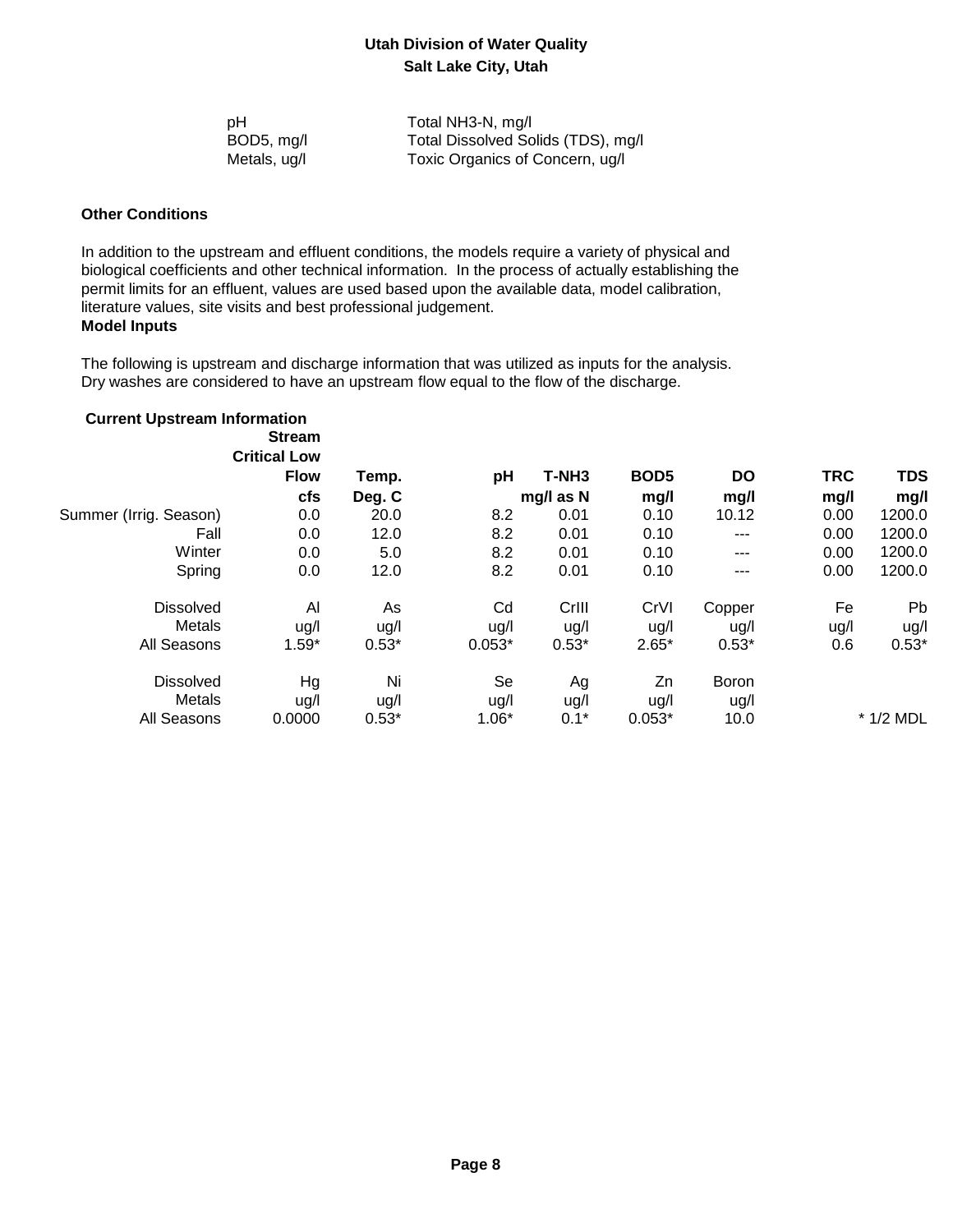| рH           | Total NH3-N, mg/l                  |
|--------------|------------------------------------|
| BOD5, mg/l   | Total Dissolved Solids (TDS), mg/l |
| Metals, ug/l | Toxic Organics of Concern, ug/l    |

#### **Other Conditions**

 In addition to the upstream and effluent conditions, the models require a variety of physical and biological coefficients and other technical information. In the process of actually establishing the permit limits for an effluent, values are used based upon the available data, model calibration, literature values, site visits and best professional judgement.  **Model Inputs**

 The following is upstream and discharge information that was utilized as inputs for the analysis. Dry washes are considered to have an upstream flow equal to the flow of the discharge.

| <b>Current Upstream Information</b> | <b>Stream</b><br><b>Critical Low</b> |         |          |                   |                  |           |            |             |
|-------------------------------------|--------------------------------------|---------|----------|-------------------|------------------|-----------|------------|-------------|
|                                     | <b>Flow</b>                          | Temp.   | рH       | T-NH <sub>3</sub> | BOD <sub>5</sub> | <b>DO</b> | <b>TRC</b> | <b>TDS</b>  |
|                                     | <b>cfs</b>                           | Deg. C  |          | mg/l as N         | mg/l             | mg/l      | mg/l       | mg/l        |
| Summer (Irrig. Season)              | 0.0                                  | 20.0    | 8.2      | 0.01              | 0.10             | 10.12     | 0.00       | 1200.0      |
| Fall                                | 0.0                                  | 12.0    | 8.2      | 0.01              | 0.10             | ---       | 0.00       | 1200.0      |
| Winter                              | 0.0                                  | 5.0     | 8.2      | 0.01              | 0.10             | ---       | 0.00       | 1200.0      |
| Spring                              | 0.0                                  | 12.0    | 8.2      | 0.01              | 0.10             | ---       | 0.00       | 1200.0      |
| <b>Dissolved</b>                    | Al                                   | As      | Cd       | Crill             | CrVI             | Copper    | Fe         | <b>Pb</b>   |
| Metals                              | ug/l                                 | ug/l    | ug/l     | ug/l              | ug/l             | ug/l      | ug/l       | ug/l        |
| All Seasons                         | $1.59*$                              | $0.53*$ | $0.053*$ | $0.53*$           | $2.65*$          | $0.53*$   | 0.6        | $0.53*$     |
| <b>Dissolved</b>                    | Hg                                   | Ni      | Se       | Ag                | Zn               | Boron     |            |             |
| Metals                              | ug/l                                 | ug/l    | ug/l     | ug/l              | ug/l             | ug/l      |            |             |
| All Seasons                         | 0.0000                               | $0.53*$ | $1.06*$  | $0.1*$            | $0.053*$         | 10.0      |            | $*$ 1/2 MDL |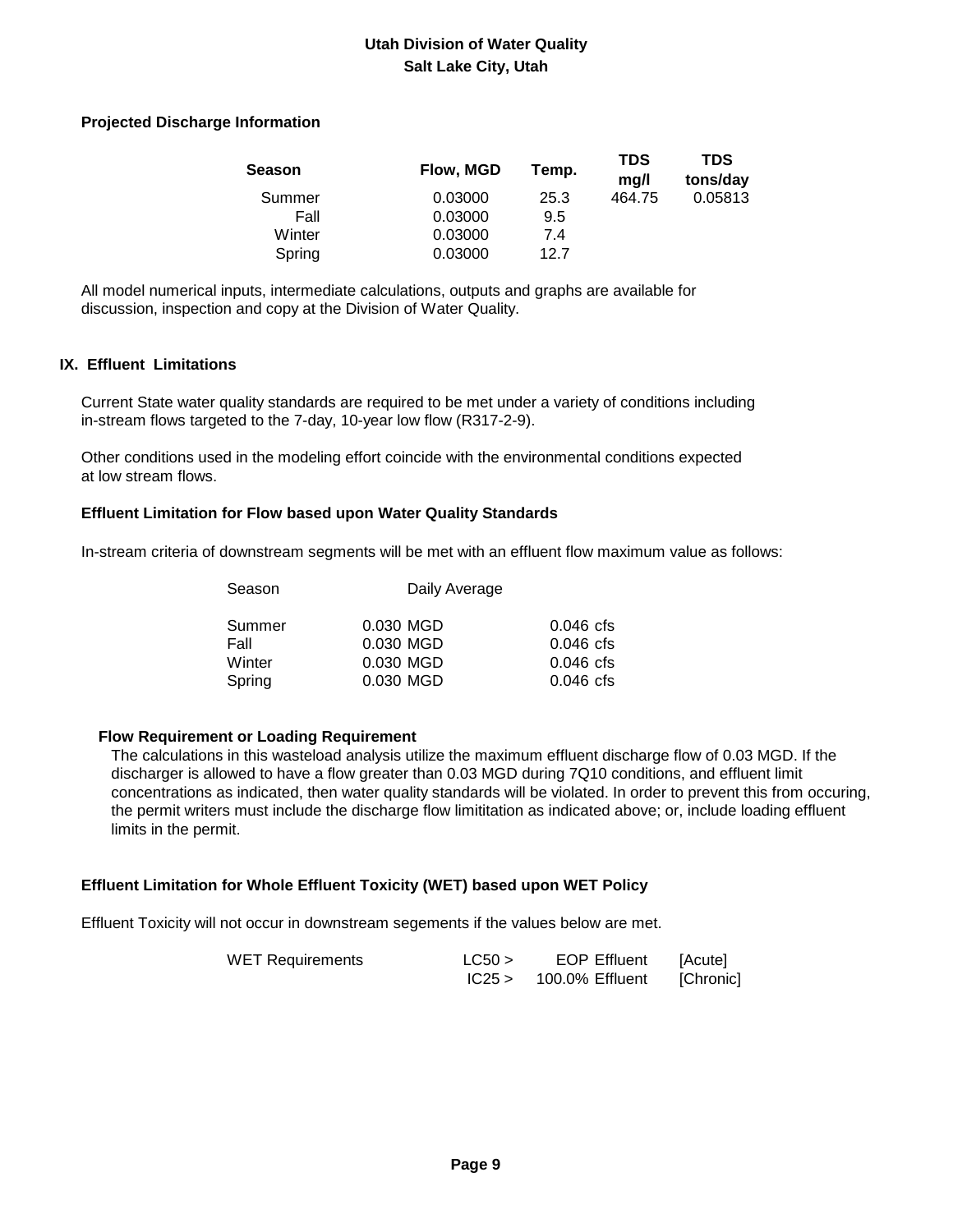#### **Projected Discharge Information**

| Season | Flow, MGD | Temp. | <b>TDS</b><br>mg/l | TDS<br>tons/day |
|--------|-----------|-------|--------------------|-----------------|
| Summer | 0.03000   | 25.3  | 464.75             | 0.05813         |
| Fall   | 0.03000   | 9.5   |                    |                 |
| Winter | 0.03000   | 7.4   |                    |                 |
| Spring | 0.03000   | 127   |                    |                 |

 All model numerical inputs, intermediate calculations, outputs and graphs are available for discussion, inspection and copy at the Division of Water Quality.

#### **IX. Effluent Limitations**

 Current State water quality standards are required to be met under a variety of conditions including in-stream flows targeted to the 7-day, 10-year low flow (R317-2-9).

 Other conditions used in the modeling effort coincide with the environmental conditions expected at low stream flows.

#### **Effluent Limitation for Flow based upon Water Quality Standards**

In-stream criteria of downstream segments will be met with an effluent flow maximum value as follows:

| Season |           | Daily Average |  |  |  |
|--------|-----------|---------------|--|--|--|
| Summer | 0.030 MGD | $0.046$ cfs   |  |  |  |
| Fall   | 0.030 MGD | $0.046$ cfs   |  |  |  |
| Winter | 0.030 MGD | $0.046$ cfs   |  |  |  |
| Spring | 0.030 MGD | $0.046$ cfs   |  |  |  |
|        |           |               |  |  |  |

### **Flow Requirement or Loading Requirement**

 The calculations in this wasteload analysis utilize the maximum effluent discharge flow of 0.03 MGD. If the discharger is allowed to have a flow greater than 0.03 MGD during 7Q10 conditions, and effluent limit concentrations as indicated, then water quality standards will be violated. In order to prevent this from occuring, the permit writers must include the discharge flow limititation as indicated above; or, include loading effluent limits in the permit.

### **Effluent Limitation for Whole Effluent Toxicity (WET) based upon WET Policy**

Effluent Toxicity will not occur in downstream segements if the values below are met.

| WET Requirements | LC50 > | <b>EOP Effluent</b> | <b>IAcutel</b> |
|------------------|--------|---------------------|----------------|
|                  | IC25 > | 100.0% Effluent     | [Chronic]      |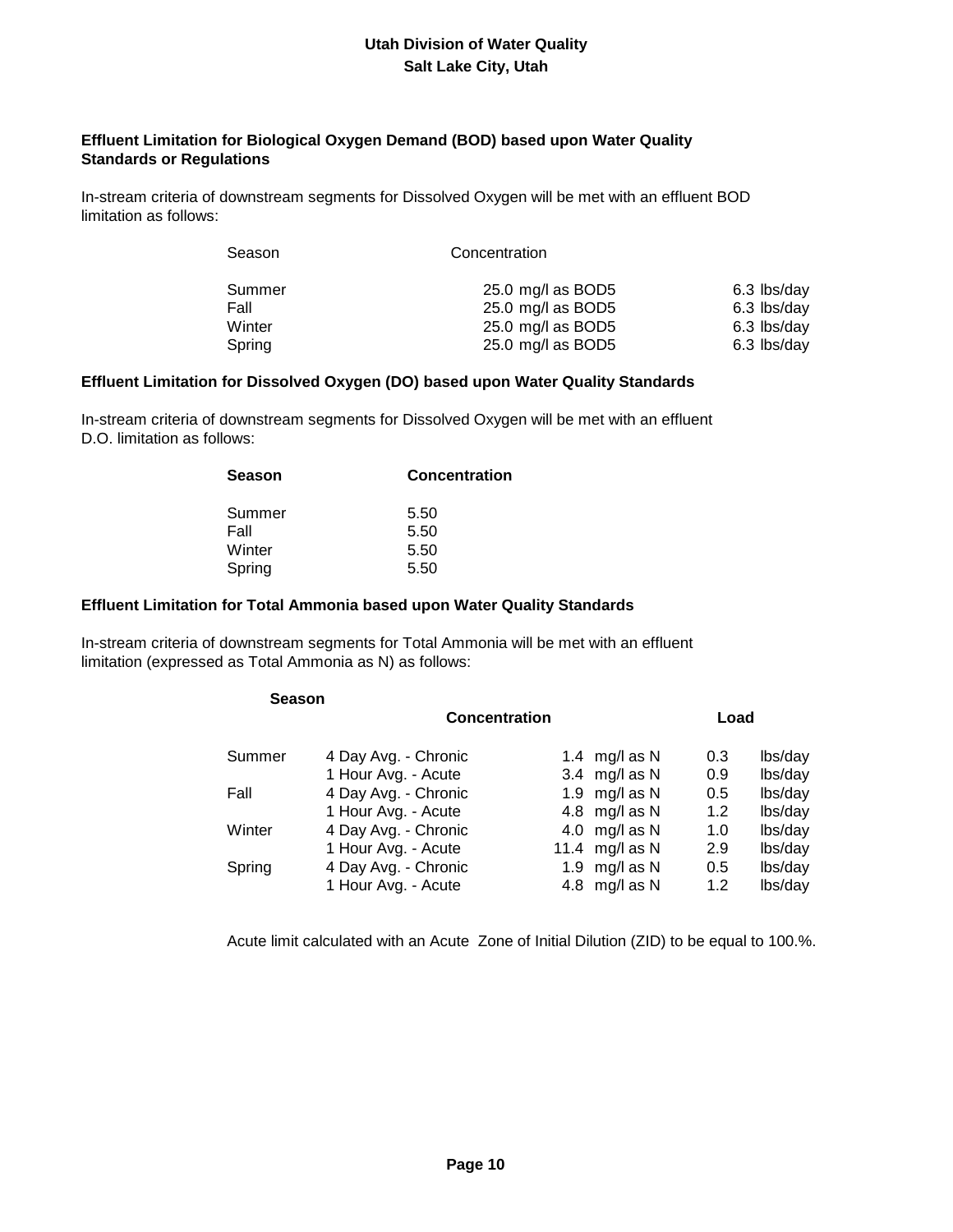### **Effluent Limitation for Biological Oxygen Demand (BOD) based upon Water Quality Standards or Regulations**

 In-stream criteria of downstream segments for Dissolved Oxygen will be met with an effluent BOD limitation as follows:

| Season | Concentration     |             |  |
|--------|-------------------|-------------|--|
| Summer | 25.0 mg/l as BOD5 | 6.3 lbs/day |  |
| Fall   | 25.0 mg/l as BOD5 | 6.3 lbs/day |  |
| Winter | 25.0 mg/l as BOD5 | 6.3 lbs/day |  |
| Spring | 25.0 mg/l as BOD5 | 6.3 lbs/day |  |

#### **Effluent Limitation for Dissolved Oxygen (DO) based upon Water Quality Standards**

 In-stream criteria of downstream segments for Dissolved Oxygen will be met with an effluent D.O. limitation as follows:

| Concentration |
|---------------|
| 5.50          |
| 5.50          |
| 5.50          |
| 5.50          |
|               |

#### **Effluent Limitation for Total Ammonia based upon Water Quality Standards**

 In-stream criteria of downstream segments for Total Ammonia will be met with an effluent limitation (expressed as Total Ammonia as N) as follows:

| <b>Season</b> |                      |                  |      |         |
|---------------|----------------------|------------------|------|---------|
|               | <b>Concentration</b> |                  | Load |         |
| Summer        | 4 Day Avg. - Chronic | 1.4 mg/l as N    | 0.3  | lbs/day |
|               | 1 Hour Avg. - Acute  | 3.4 $mg/l$ as N  | 0.9  | lbs/day |
| Fall          | 4 Day Avg. - Chronic | 1.9 mg/l as $N$  | 0.5  | lbs/day |
|               | 1 Hour Avg. - Acute  | 4.8 mg/l as N    | 1.2  | lbs/day |
| Winter        | 4 Day Avg. - Chronic | 4.0 mg/l as N    | 1.0  | lbs/day |
|               | 1 Hour Avg. - Acute  | 11.4 $mg/l$ as N | 2.9  | lbs/day |
| Spring        | 4 Day Avg. - Chronic | 1.9 $mg/l$ as N  | 0.5  | lbs/day |
|               | 1 Hour Avg. - Acute  | 4.8 mg/l as N    | 1.2  | lbs/day |

Acute limit calculated with an Acute Zone of Initial Dilution (ZID) to be equal to 100.%.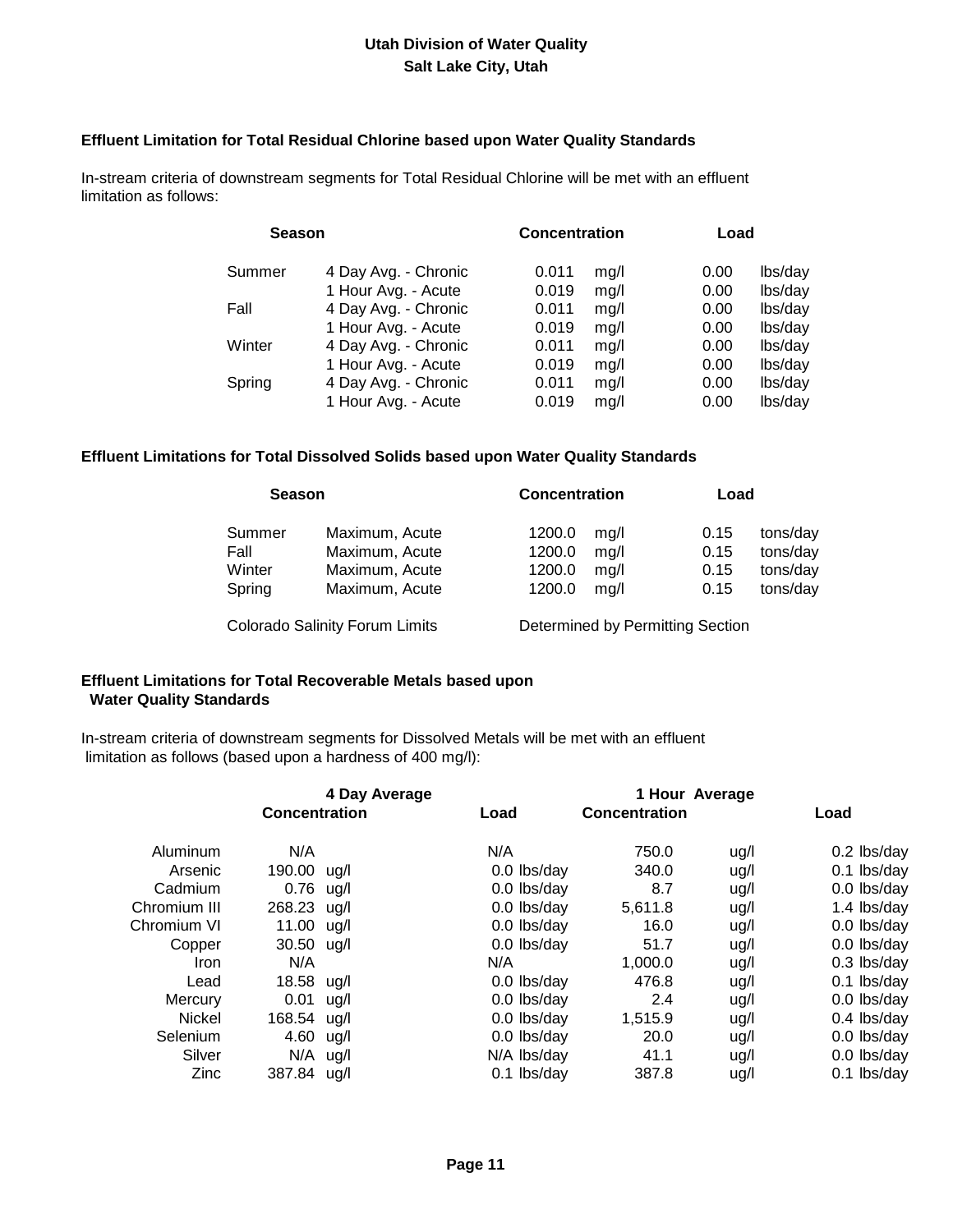#### **Effluent Limitation for Total Residual Chlorine based upon Water Quality Standards**

 In-stream criteria of downstream segments for Total Residual Chlorine will be met with an effluent limitation as follows:

| <b>Season</b> |                      | <b>Concentration</b> |      | Load |         |
|---------------|----------------------|----------------------|------|------|---------|
| Summer        | 4 Day Avg. - Chronic | 0.011                | mq/l | 0.00 | lbs/day |
|               | 1 Hour Avg. - Acute  | 0.019                | mg/l | 0.00 | lbs/day |
| Fall          | 4 Day Avg. - Chronic | 0.011                | mg/l | 0.00 | lbs/day |
|               | 1 Hour Avg. - Acute  | 0.019                | mq/l | 0.00 | lbs/day |
| Winter        | 4 Day Avg. - Chronic | 0.011                | mg/l | 0.00 | lbs/day |
|               | 1 Hour Avg. - Acute  | 0.019                | mq/l | 0.00 | lbs/day |
| Spring        | 4 Day Avg. - Chronic | 0.011                | mq/l | 0.00 | lbs/day |
|               | 1 Hour Avg. - Acute  | 0.019                | mq/l | 0.00 | lbs/day |

#### **Effluent Limitations for Total Dissolved Solids based upon Water Quality Standards**

| <b>Season</b> |                                       |        | <b>Concentration</b> |                                  | Load     |  |
|---------------|---------------------------------------|--------|----------------------|----------------------------------|----------|--|
| Summer        | Maximum, Acute                        | 1200.0 | mq/l                 | 0.15                             | tons/day |  |
| Fall          | Maximum, Acute                        | 1200.0 | mq/l                 | 0.15                             | tons/day |  |
| Winter        | Maximum, Acute                        | 1200.0 | mq/l                 | 0.15                             | tons/day |  |
| Spring        | Maximum, Acute                        | 1200.0 | mg/l                 | 0.15                             | tons/day |  |
|               | <b>Colorado Salinity Forum Limits</b> |        |                      | Determined by Permitting Section |          |  |

### **Effluent Limitations for Total Recoverable Metals based upon Water Quality Standards**

 In-stream criteria of downstream segments for Dissolved Metals will be met with an effluent limitation as follows (based upon a hardness of 400 mg/l):

|               |                      | 4 Day Average |             |                      | 1 Hour Average |               |
|---------------|----------------------|---------------|-------------|----------------------|----------------|---------------|
|               | <b>Concentration</b> |               | Load        | <b>Concentration</b> |                | Load          |
| Aluminum      | N/A                  |               | N/A         | 750.0                | ug/l           | 0.2 lbs/day   |
| Arsenic       | 190.00 ug/l          |               | 0.0 lbs/day | 340.0                | ug/l           | $0.1$ lbs/day |
| Cadmium       | $0.76$ ug/l          |               | 0.0 lbs/day | 8.7                  | ug/l           | 0.0 lbs/day   |
| Chromium III  | 268.23 ug/l          |               | 0.0 lbs/day | 5,611.8              | ug/l           | 1.4 lbs/day   |
| Chromium VI   | 11.00 ug/l           |               | 0.0 lbs/day | 16.0                 | ug/l           | 0.0 lbs/day   |
| Copper        | 30.50 ug/l           |               | 0.0 lbs/day | 51.7                 | ug/l           | 0.0 lbs/day   |
| Iron          | N/A                  |               | N/A         | 1,000.0              | ug/l           | $0.3$ lbs/day |
| Lead          | 18.58                | ug/l          | 0.0 lbs/day | 476.8                | ug/l           | $0.1$ lbs/day |
| Mercury       | 0.01                 | ug/l          | 0.0 lbs/day | 2.4                  | ug/l           | 0.0 lbs/day   |
| <b>Nickel</b> | 168.54 ug/l          |               | 0.0 lbs/day | 1,515.9              | ug/l           | $0.4$ lbs/day |
| Selenium      | 4.60 ug/l            |               | 0.0 lbs/day | 20.0                 | ug/l           | 0.0 lbs/day   |
| Silver        | $N/A$ ug/l           |               | N/A lbs/day | 41.1                 | ug/l           | 0.0 lbs/day   |
| Zinc          | 387.84 ug/l          |               | 0.1 lbs/day | 387.8                | ug/l           | 0.1 lbs/day   |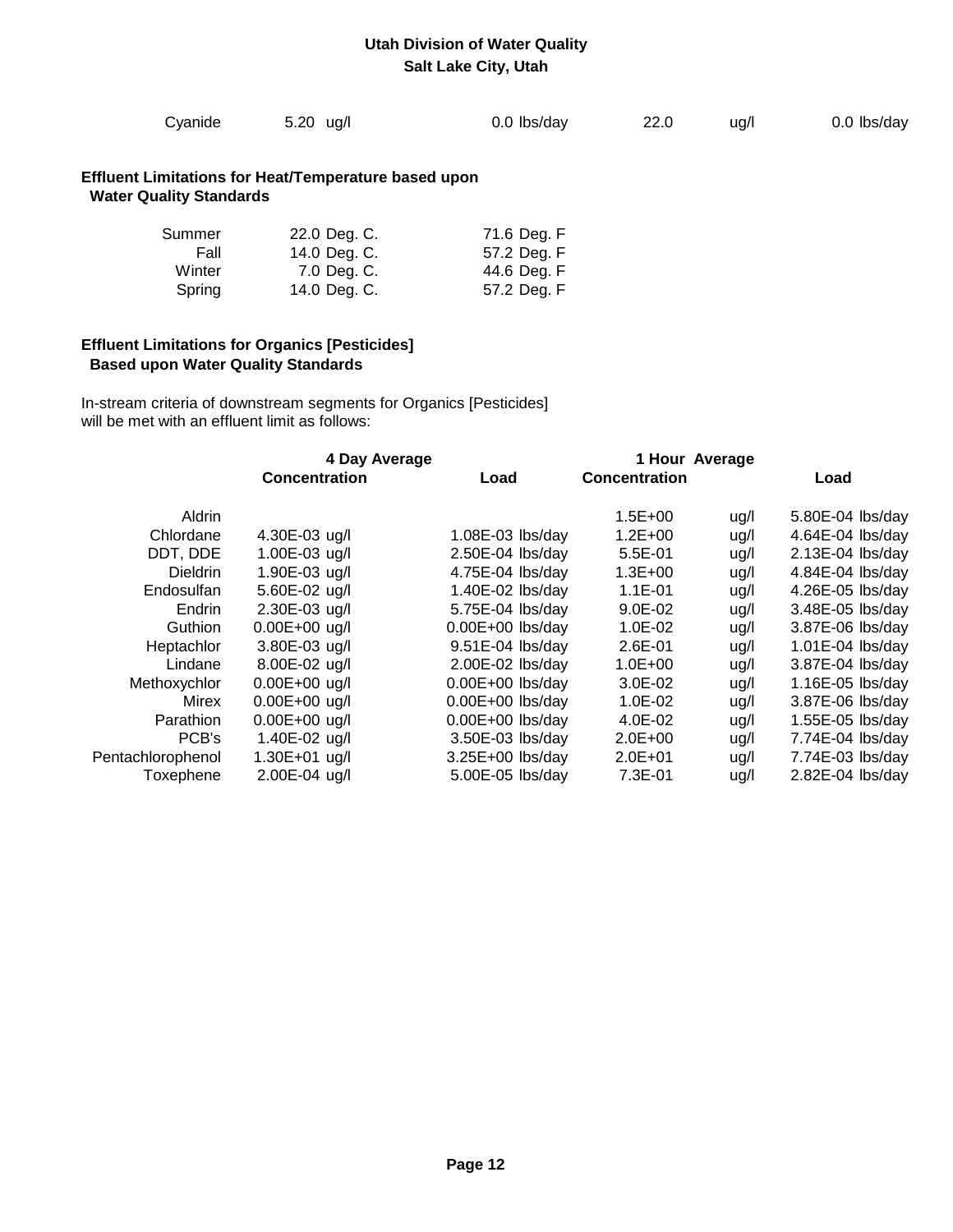|  | Cyanide | 5.20 ug/l | 0.0 lbs/day | 22.0 | ug/l | 0.0 lbs/day |
|--|---------|-----------|-------------|------|------|-------------|
|--|---------|-----------|-------------|------|------|-------------|

### **Effluent Limitations for Heat/Temperature based upon Water Quality Standards**

| Summer | 22.0 Deg. C. | 71.6 Deg. F |
|--------|--------------|-------------|
| Fall   | 14.0 Deg. C. | 57.2 Deg. F |
| Winter | 7.0 Deg. C.  | 44.6 Deg. F |
| Spring | 14.0 Deg. C. | 57.2 Deg. F |

### **Effluent Limitations for Organics [Pesticides] Based upon Water Quality Standards**

 In-stream criteria of downstream segments for Organics [Pesticides] will be met with an effluent limit as follows:

| <b>Concentration</b> | Load               | <b>Concentration</b> |      | Load             |
|----------------------|--------------------|----------------------|------|------------------|
|                      |                    | $1.5E + 00$          | ug/l | 5.80E-04 lbs/day |
| 4.30E-03 ug/l        | 1.08E-03 lbs/day   | $1.2E + 00$          | ug/l | 4.64E-04 lbs/day |
| 1.00E-03 ug/l        | 2.50E-04 lbs/day   | 5.5E-01              | ug/l | 2.13E-04 lbs/day |
| 1.90E-03 ug/l        | 4.75E-04 lbs/day   | $1.3E + 00$          | ug/l | 4.84E-04 lbs/day |
| 5.60E-02 ug/l        | 1.40E-02 lbs/day   | $1.1E - 01$          | ug/l | 4.26E-05 lbs/day |
| 2.30E-03 ug/l        | 5.75E-04 lbs/day   | $9.0E-02$            | ug/l | 3.48E-05 lbs/day |
| $0.00E + 00$ ug/l    | $0.00E+00$ lbs/day | 1.0E-02              | ug/l | 3.87E-06 lbs/day |
| 3.80E-03 ug/l        | 9.51E-04 lbs/day   | $2.6E - 01$          | ug/l | 1.01E-04 lbs/day |
| 8.00E-02 ug/l        | 2.00E-02 lbs/day   | $1.0E + 00$          | ug/l | 3.87E-04 lbs/day |
| $0.00E + 00$ ug/l    | $0.00E+00$ lbs/day | 3.0E-02              | ug/l | 1.16E-05 lbs/day |
| $0.00E + 00$ ug/l    | $0.00E+00$ lbs/day | 1.0E-02              | ug/l | 3.87E-06 lbs/day |
| 0.00E+00 ug/l        | $0.00E+00$ lbs/day | 4.0E-02              | ug/l | 1.55E-05 lbs/day |
| 1.40E-02 ug/l        | 3.50E-03 lbs/day   | $2.0E + 00$          | ug/l | 7.74E-04 lbs/day |
| 1.30E+01 ug/l        | 3.25E+00 lbs/day   | $2.0E + 01$          | ug/l | 7.74E-03 lbs/day |
| 2.00E-04 ug/l        | 5.00E-05 lbs/day   | 7.3E-01              | ug/l | 2.82E-04 lbs/day |
|                      |                    | 4 Day Average        |      | 1 Hour Average   |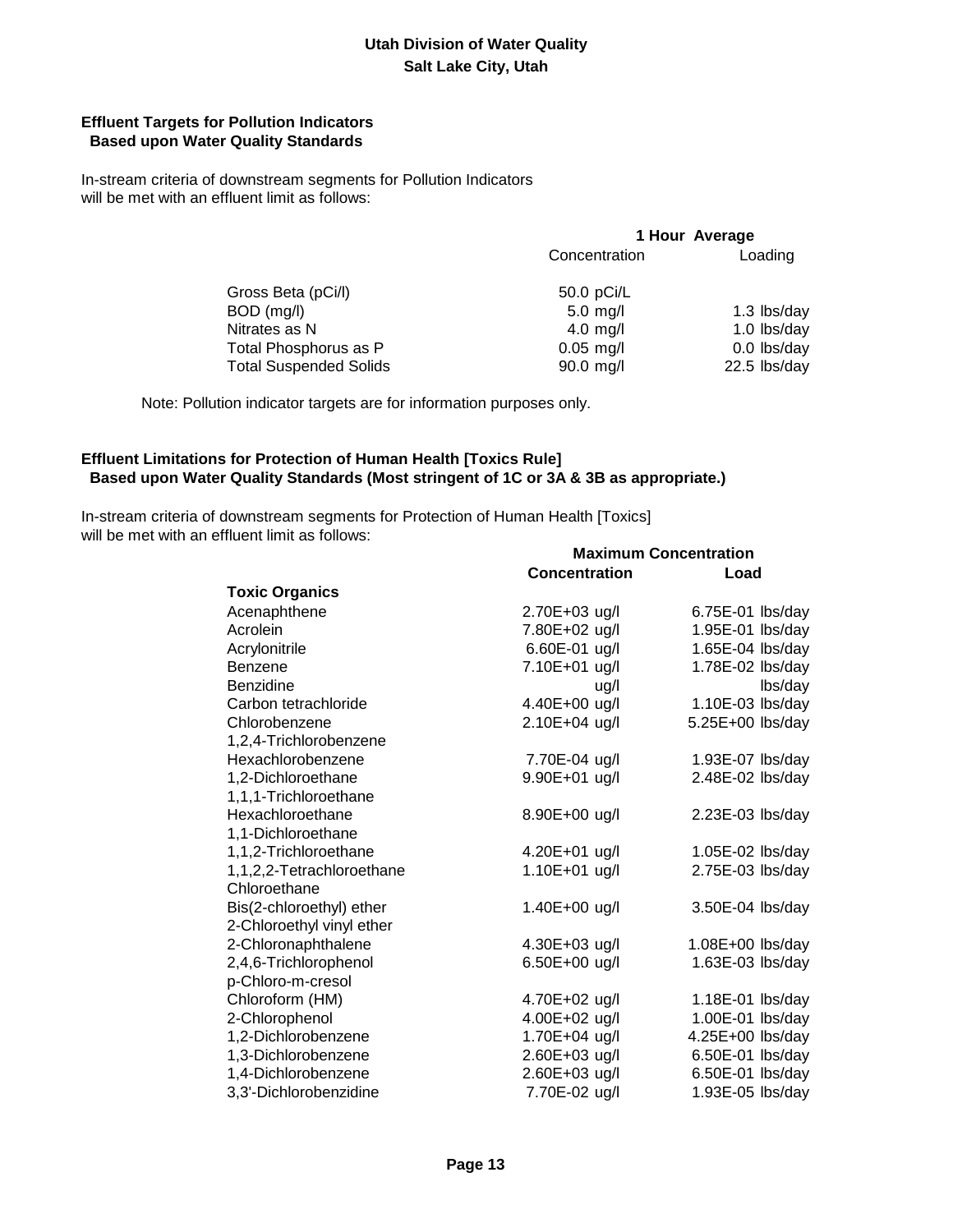### **Effluent Targets for Pollution Indicators Based upon Water Quality Standards**

 In-stream criteria of downstream segments for Pollution Indicators will be met with an effluent limit as follows:

| 1 Hour Average |              |  |
|----------------|--------------|--|
| Concentration  | Loading      |  |
| 50.0 pCi/L     |              |  |
| $5.0$ mg/l     | 1.3 lbs/day  |  |
| $4.0$ mg/l     | 1.0 lbs/day  |  |
| $0.05$ mg/l    | 0.0 lbs/day  |  |
| 90.0 mg/l      | 22.5 lbs/day |  |
|                |              |  |

Note: Pollution indicator targets are for information purposes only.

### **Effluent Limitations for Protection of Human Health [Toxics Rule] Based upon Water Quality Standards (Most stringent of 1C or 3A & 3B as appropriate.)**

 In-stream criteria of downstream segments for Protection of Human Health [Toxics] will be met with an effluent limit as follows: **Maximum Concentration**

|                           |                      | MAXIIIUIII VUILEIIU AUVII |
|---------------------------|----------------------|---------------------------|
|                           | <b>Concentration</b> | Load                      |
| <b>Toxic Organics</b>     |                      |                           |
| Acenaphthene              | 2.70E+03 ug/l        | 6.75E-01 lbs/day          |
| Acrolein                  | 7.80E+02 ug/l        | 1.95E-01 lbs/day          |
| Acrylonitrile             | 6.60E-01 ug/l        | 1.65E-04 lbs/day          |
| Benzene                   | 7.10E+01 ug/l        | 1.78E-02 lbs/day          |
| Benzidine                 | ug/l                 | lbs/day                   |
| Carbon tetrachloride      | 4.40E+00 ug/l        | 1.10E-03 lbs/day          |
| Chlorobenzene             | 2.10E+04 ug/l        | 5.25E+00 lbs/day          |
| 1,2,4-Trichlorobenzene    |                      |                           |
| Hexachlorobenzene         | 7.70E-04 ug/l        | 1.93E-07 lbs/day          |
| 1,2-Dichloroethane        | 9.90E+01 ug/l        | 2.48E-02 lbs/day          |
| 1,1,1-Trichloroethane     |                      |                           |
| Hexachloroethane          | 8.90E+00 ug/l        | $2.23E-03$ lbs/day        |
| 1,1-Dichloroethane        |                      |                           |
| 1,1,2-Trichloroethane     | 4.20E+01 ug/l        | 1.05E-02 lbs/day          |
| 1,1,2,2-Tetrachloroethane | 1.10E+01 ug/l        | 2.75E-03 lbs/day          |
| Chloroethane              |                      |                           |
| Bis(2-chloroethyl) ether  | 1.40E+00 ug/l        | 3.50E-04 lbs/day          |
| 2-Chloroethyl vinyl ether |                      |                           |
| 2-Chloronaphthalene       | 4.30E+03 ug/l        | 1.08E+00 lbs/day          |
| 2,4,6-Trichlorophenol     | 6.50E+00 ug/l        | 1.63E-03 lbs/day          |
| p-Chloro-m-cresol         |                      |                           |
| Chloroform (HM)           | 4.70E+02 ug/l        | 1.18E-01 lbs/day          |
| 2-Chlorophenol            | 4.00E+02 ug/l        | 1.00E-01 lbs/day          |
| 1,2-Dichlorobenzene       | 1.70E+04 ug/l        | 4.25E+00 lbs/day          |
| 1,3-Dichlorobenzene       | 2.60E+03 ug/l        | 6.50E-01 lbs/day          |
| 1,4-Dichlorobenzene       | 2.60E+03 ug/l        | 6.50E-01 lbs/day          |
| 3,3'-Dichlorobenzidine    | 7.70E-02 ug/l        | 1.93E-05 lbs/day          |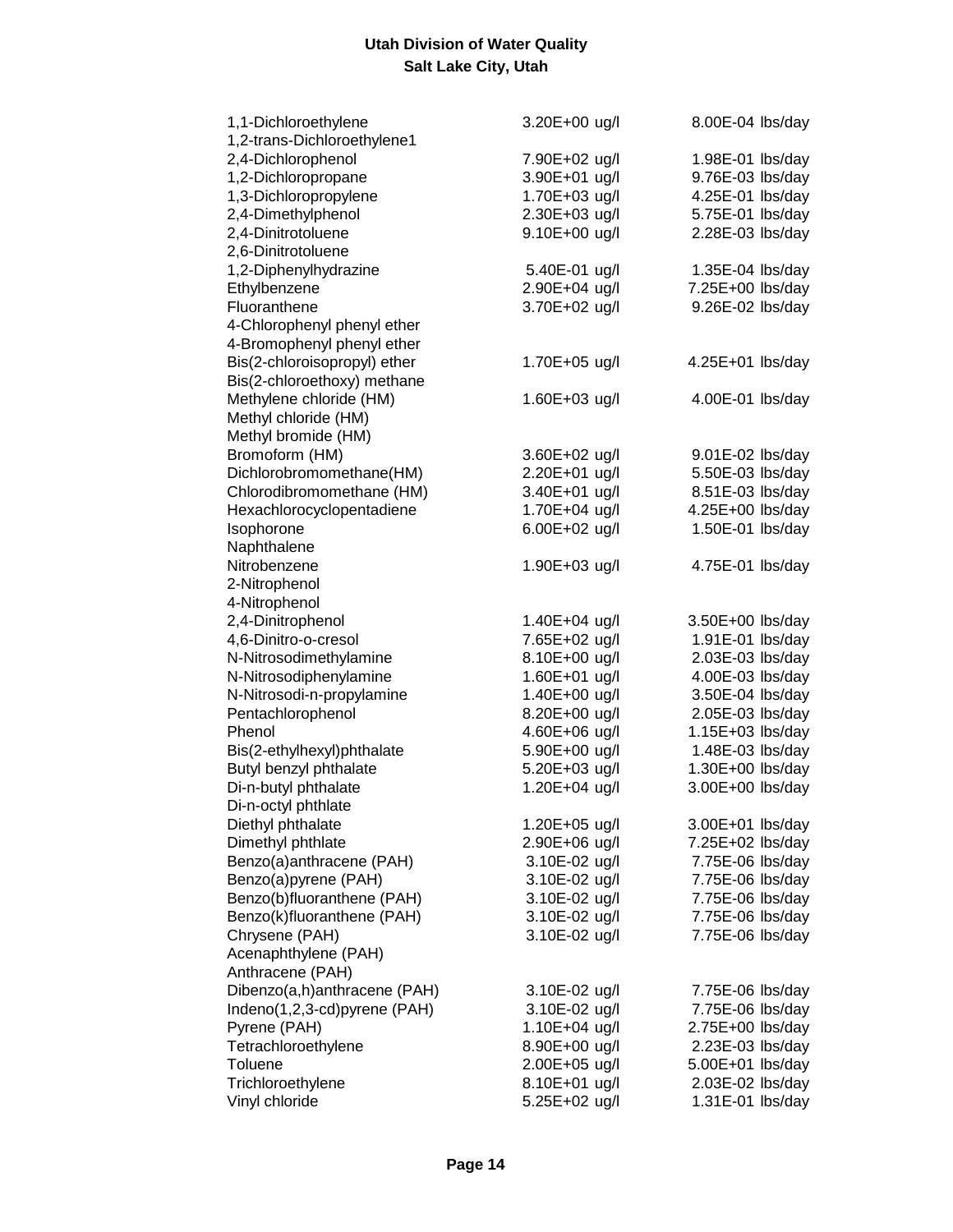| 1,1-Dichloroethylene         | 3.20E+00 ug/l | 8.00E-04 lbs/day |
|------------------------------|---------------|------------------|
| 1,2-trans-Dichloroethylene1  |               |                  |
| 2,4-Dichlorophenol           | 7.90E+02 ug/l | 1.98E-01 lbs/day |
| 1,2-Dichloropropane          | 3.90E+01 ug/l | 9.76E-03 lbs/day |
| 1,3-Dichloropropylene        | 1.70E+03 ug/l | 4.25E-01 lbs/day |
| 2,4-Dimethylphenol           | 2.30E+03 ug/l | 5.75E-01 lbs/day |
| 2,4-Dinitrotoluene           | 9.10E+00 ug/l | 2.28E-03 lbs/day |
| 2,6-Dinitrotoluene           |               |                  |
| 1,2-Diphenylhydrazine        | 5.40E-01 ug/l | 1.35E-04 lbs/day |
| Ethylbenzene                 | 2.90E+04 ug/l | 7.25E+00 lbs/day |
| Fluoranthene                 | 3.70E+02 ug/l | 9.26E-02 lbs/day |
| 4-Chlorophenyl phenyl ether  |               |                  |
| 4-Bromophenyl phenyl ether   |               |                  |
| Bis(2-chloroisopropyl) ether | 1.70E+05 ug/l | 4.25E+01 lbs/day |
| Bis(2-chloroethoxy) methane  |               |                  |
| Methylene chloride (HM)      | 1.60E+03 ug/l | 4.00E-01 lbs/day |
| Methyl chloride (HM)         |               |                  |
| Methyl bromide (HM)          |               |                  |
| Bromoform (HM)               | 3.60E+02 ug/l | 9.01E-02 lbs/day |
| Dichlorobromomethane(HM)     | 2.20E+01 ug/l | 5.50E-03 lbs/day |
| Chlorodibromomethane (HM)    | 3.40E+01 ug/l | 8.51E-03 lbs/day |
| Hexachlorocyclopentadiene    | 1.70E+04 ug/l | 4.25E+00 lbs/day |
| Isophorone                   | 6.00E+02 ug/l | 1.50E-01 lbs/day |
| Naphthalene                  |               |                  |
| Nitrobenzene                 | 1.90E+03 ug/l | 4.75E-01 lbs/day |
| 2-Nitrophenol                |               |                  |
| 4-Nitrophenol                |               |                  |
| 2,4-Dinitrophenol            | 1.40E+04 ug/l | 3.50E+00 lbs/day |
| 4,6-Dinitro-o-cresol         | 7.65E+02 ug/l | 1.91E-01 lbs/day |
| N-Nitrosodimethylamine       | 8.10E+00 ug/l | 2.03E-03 lbs/day |
| N-Nitrosodiphenylamine       | 1.60E+01 ug/l | 4.00E-03 lbs/day |
| N-Nitrosodi-n-propylamine    | 1.40E+00 ug/l | 3.50E-04 lbs/day |
| Pentachlorophenol            | 8.20E+00 ug/l | 2.05E-03 lbs/day |
| Phenol                       | 4.60E+06 ug/l | 1.15E+03 lbs/day |
| Bis(2-ethylhexyl)phthalate   | 5.90E+00 ug/l | 1.48E-03 lbs/day |
| Butyl benzyl phthalate       | 5.20E+03 ug/l | 1.30E+00 lbs/day |
| Di-n-butyl phthalate         | 1.20E+04 ug/l | 3.00E+00 lbs/day |
| Di-n-octyl phthlate          |               |                  |
| Diethyl phthalate            | 1.20E+05 ug/l | 3.00E+01 lbs/day |
| Dimethyl phthlate            | 2.90E+06 ug/l | 7.25E+02 lbs/day |
| Benzo(a)anthracene (PAH)     | 3.10E-02 ug/l | 7.75E-06 lbs/day |
| Benzo(a)pyrene (PAH)         | 3.10E-02 ug/l | 7.75E-06 lbs/day |
| Benzo(b)fluoranthene (PAH)   | 3.10E-02 ug/l | 7.75E-06 lbs/day |
| Benzo(k)fluoranthene (PAH)   | 3.10E-02 ug/l | 7.75E-06 lbs/day |
| Chrysene (PAH)               | 3.10E-02 ug/l | 7.75E-06 lbs/day |
| Acenaphthylene (PAH)         |               |                  |
| Anthracene (PAH)             |               |                  |
| Dibenzo(a,h)anthracene (PAH) | 3.10E-02 ug/l | 7.75E-06 lbs/day |
| Indeno(1,2,3-cd)pyrene (PAH) | 3.10E-02 ug/l | 7.75E-06 lbs/day |
| Pyrene (PAH)                 | 1.10E+04 ug/l | 2.75E+00 lbs/day |
| Tetrachloroethylene          | 8.90E+00 ug/l | 2.23E-03 lbs/day |
| <b>Toluene</b>               | 2.00E+05 ug/l | 5.00E+01 lbs/day |
| Trichloroethylene            | 8.10E+01 ug/l | 2.03E-02 lbs/day |
| Vinyl chloride               | 5.25E+02 ug/l | 1.31E-01 lbs/day |
|                              |               |                  |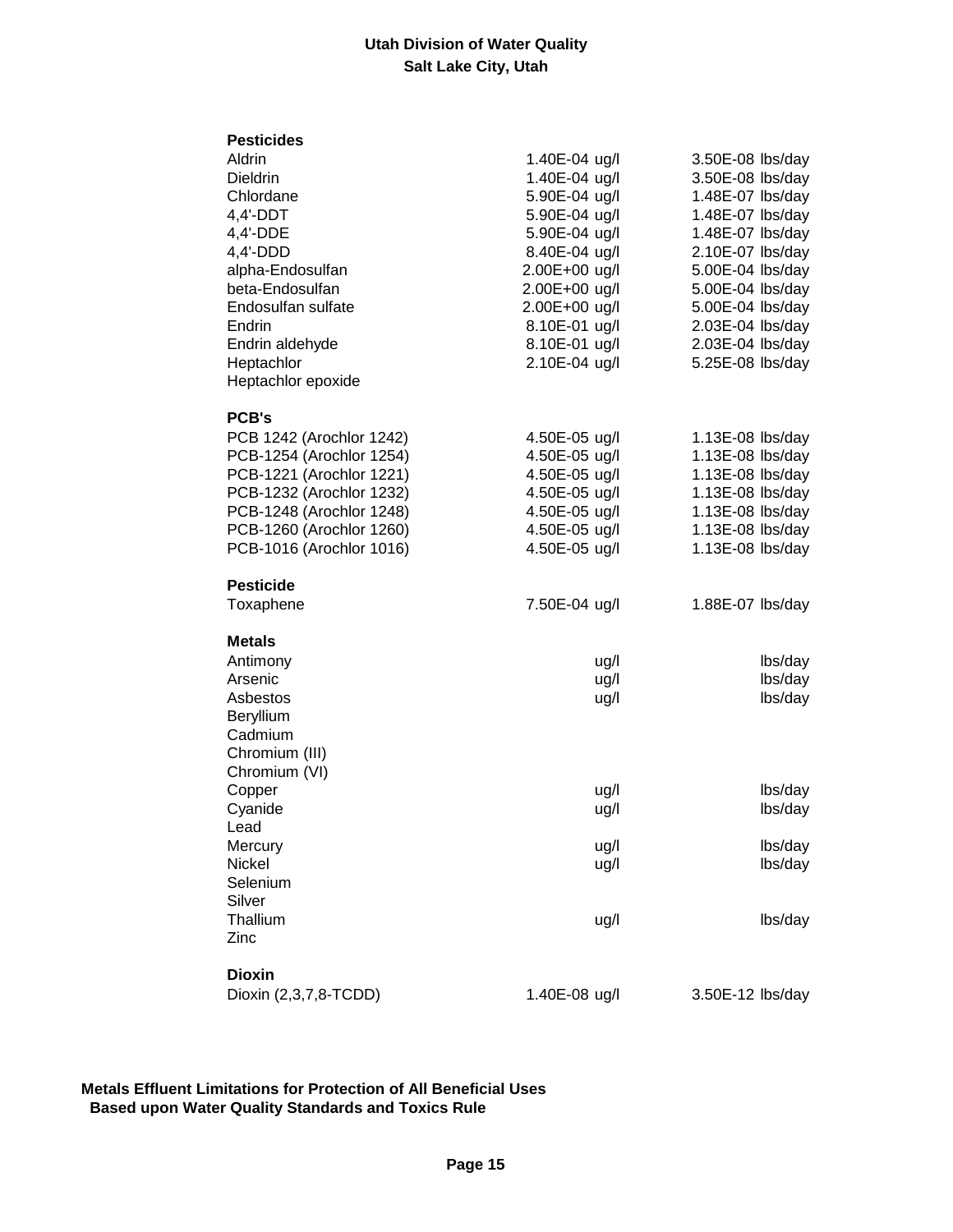| <b>Pesticides</b>                      |               |                  |
|----------------------------------------|---------------|------------------|
| Aldrin                                 | 1.40E-04 ug/l | 3.50E-08 lbs/day |
| <b>Dieldrin</b>                        | 1.40E-04 ug/l | 3.50E-08 lbs/day |
| Chlordane                              | 5.90E-04 ug/l | 1.48E-07 lbs/day |
| $4,4'-DDT$                             | 5.90E-04 ug/l | 1.48E-07 lbs/day |
| 4,4'-DDE                               | 5.90E-04 ug/l | 1.48E-07 lbs/day |
| $4,4'-DDD$                             | 8.40E-04 ug/l | 2.10E-07 lbs/day |
| alpha-Endosulfan                       | 2.00E+00 ug/l | 5.00E-04 lbs/day |
| beta-Endosulfan                        | 2.00E+00 ug/l | 5.00E-04 lbs/day |
| Endosulfan sulfate                     | 2.00E+00 ug/l | 5.00E-04 lbs/day |
| Endrin                                 | 8.10E-01 ug/l | 2.03E-04 lbs/day |
| Endrin aldehyde                        | 8.10E-01 ug/l | 2.03E-04 lbs/day |
| Heptachlor                             | 2.10E-04 ug/l | 5.25E-08 lbs/day |
| Heptachlor epoxide                     |               |                  |
| <b>PCB's</b>                           |               |                  |
| PCB 1242 (Arochlor 1242)               | 4.50E-05 ug/l | 1.13E-08 lbs/day |
| PCB-1254 (Arochlor 1254)               | 4.50E-05 ug/l | 1.13E-08 lbs/day |
| PCB-1221 (Arochlor 1221)               | 4.50E-05 ug/l | 1.13E-08 lbs/day |
| PCB-1232 (Arochlor 1232)               | 4.50E-05 ug/l | 1.13E-08 lbs/day |
| PCB-1248 (Arochlor 1248)               | 4.50E-05 ug/l | 1.13E-08 lbs/day |
| PCB-1260 (Arochlor 1260)               | 4.50E-05 ug/l | 1.13E-08 lbs/day |
| PCB-1016 (Arochlor 1016)               | 4.50E-05 ug/l | 1.13E-08 lbs/day |
|                                        |               |                  |
|                                        |               |                  |
| <b>Pesticide</b>                       |               |                  |
| Toxaphene                              | 7.50E-04 ug/l | 1.88E-07 lbs/day |
|                                        |               |                  |
| <b>Metals</b>                          |               |                  |
| Antimony                               | ug/l          | lbs/day          |
| Arsenic                                | ug/l          | lbs/day          |
| Asbestos                               | ug/l          | lbs/day          |
| <b>Beryllium</b>                       |               |                  |
| Cadmium                                |               |                  |
| Chromium (III)                         |               |                  |
| Chromium (VI)                          |               |                  |
| Copper                                 | ug/l          | lbs/day          |
| Cyanide<br>Lead                        | ug/l          | lbs/day          |
| Mercury                                | ug/l          | lbs/day          |
| Nickel                                 | ug/l          | lbs/day          |
| Selenium                               |               |                  |
| Silver                                 |               |                  |
| Thallium                               | ug/l          | lbs/day          |
| Zinc                                   |               |                  |
|                                        |               |                  |
| <b>Dioxin</b><br>Dioxin (2,3,7,8-TCDD) | 1.40E-08 ug/l | 3.50E-12 lbs/day |

 **Metals Effluent Limitations for Protection of All Beneficial Uses Based upon Water Quality Standards and Toxics Rule**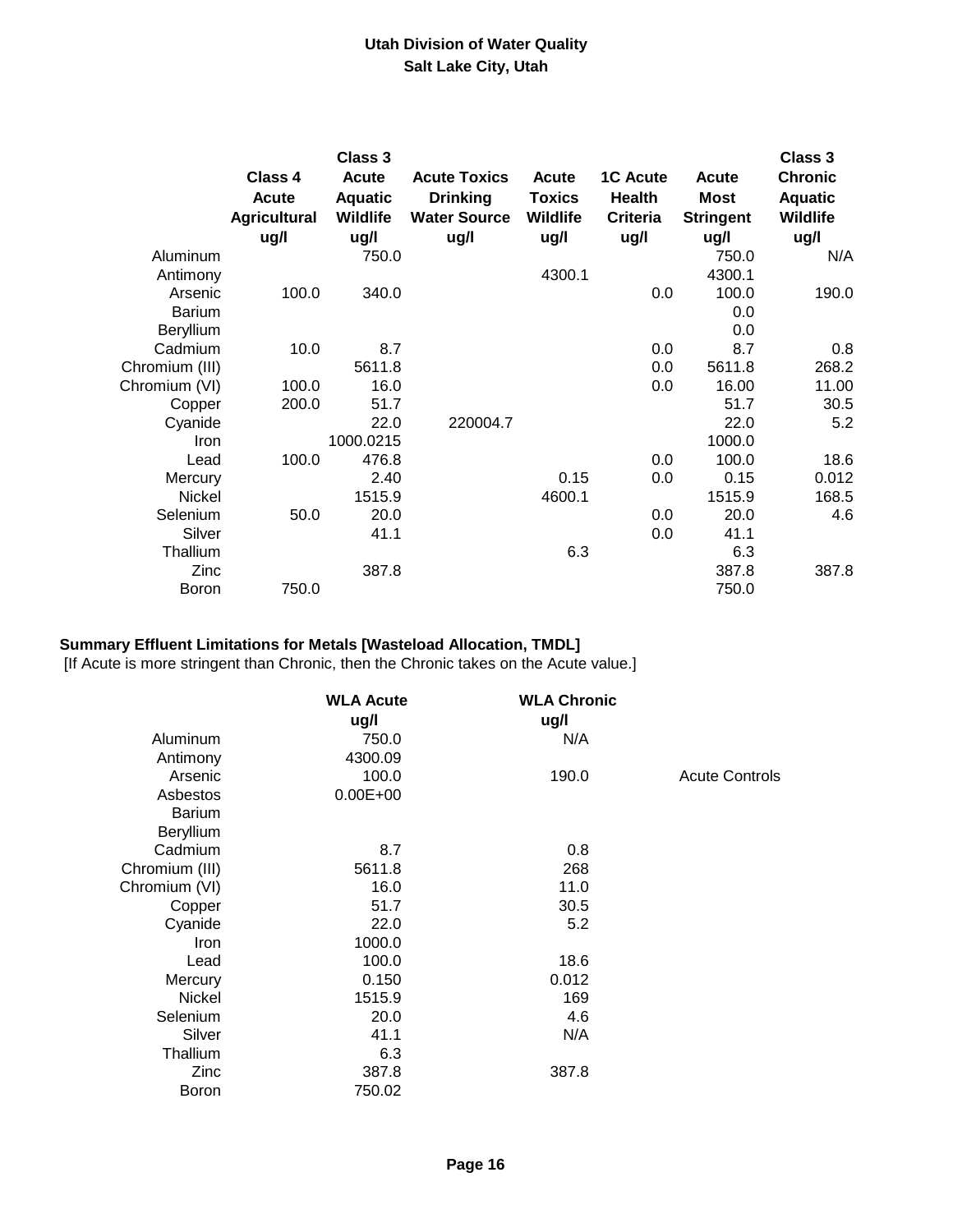|                  | Class 4<br><b>Acute</b><br><b>Agricultural</b><br>ug/l | Class 3<br><b>Acute</b><br><b>Aquatic</b><br><b>Wildlife</b><br>ug/l | <b>Acute Toxics</b><br><b>Drinking</b><br><b>Water Source</b><br>ug/l | Acute<br><b>Toxics</b><br><b>Wildlife</b><br>ug/l | <b>1C Acute</b><br>Health<br><b>Criteria</b><br>ug/l | <b>Acute</b><br><b>Most</b><br><b>Stringent</b><br>ug/l | <b>Class 3</b><br><b>Chronic</b><br><b>Aquatic</b><br><b>Wildlife</b><br>ug/l |
|------------------|--------------------------------------------------------|----------------------------------------------------------------------|-----------------------------------------------------------------------|---------------------------------------------------|------------------------------------------------------|---------------------------------------------------------|-------------------------------------------------------------------------------|
| Aluminum         |                                                        | 750.0                                                                |                                                                       |                                                   |                                                      | 750.0                                                   | N/A                                                                           |
| Antimony         |                                                        |                                                                      |                                                                       | 4300.1                                            |                                                      | 4300.1                                                  |                                                                               |
| Arsenic          | 100.0                                                  | 340.0                                                                |                                                                       |                                                   | 0.0                                                  | 100.0                                                   | 190.0                                                                         |
| <b>Barium</b>    |                                                        |                                                                      |                                                                       |                                                   |                                                      | 0.0                                                     |                                                                               |
| <b>Beryllium</b> |                                                        |                                                                      |                                                                       |                                                   |                                                      | 0.0                                                     |                                                                               |
| Cadmium          | 10.0                                                   | 8.7                                                                  |                                                                       |                                                   | 0.0                                                  | 8.7                                                     | 0.8                                                                           |
| Chromium (III)   |                                                        | 5611.8                                                               |                                                                       |                                                   | 0.0                                                  | 5611.8                                                  | 268.2                                                                         |
| Chromium (VI)    | 100.0                                                  | 16.0                                                                 |                                                                       |                                                   | 0.0                                                  | 16.00                                                   | 11.00                                                                         |
| Copper           | 200.0                                                  | 51.7                                                                 |                                                                       |                                                   |                                                      | 51.7                                                    | 30.5                                                                          |
| Cyanide          |                                                        | 22.0                                                                 | 220004.7                                                              |                                                   |                                                      | 22.0                                                    | 5.2                                                                           |
| Iron             |                                                        | 1000.0215                                                            |                                                                       |                                                   |                                                      | 1000.0                                                  |                                                                               |
| Lead             | 100.0                                                  | 476.8                                                                |                                                                       |                                                   | 0.0                                                  | 100.0                                                   | 18.6                                                                          |
| Mercury          |                                                        | 2.40                                                                 |                                                                       | 0.15                                              | 0.0                                                  | 0.15                                                    | 0.012                                                                         |
| Nickel           |                                                        | 1515.9                                                               |                                                                       | 4600.1                                            |                                                      | 1515.9                                                  | 168.5                                                                         |
| Selenium         | 50.0                                                   | 20.0                                                                 |                                                                       |                                                   | 0.0                                                  | 20.0                                                    | 4.6                                                                           |
| Silver           |                                                        | 41.1                                                                 |                                                                       |                                                   | 0.0                                                  | 41.1                                                    |                                                                               |
| Thallium         |                                                        |                                                                      |                                                                       | 6.3                                               |                                                      | 6.3                                                     |                                                                               |
| Zinc             |                                                        | 387.8                                                                |                                                                       |                                                   |                                                      | 387.8                                                   | 387.8                                                                         |
| <b>Boron</b>     | 750.0                                                  |                                                                      |                                                                       |                                                   |                                                      | 750.0                                                   |                                                                               |

# **Summary Effluent Limitations for Metals [Wasteload Allocation, TMDL]**

[If Acute is more stringent than Chronic, then the Chronic takes on the Acute value.]

|                | <b>WLA Acute</b><br>ug/l | <b>WLA Chronic</b><br>ug/l |                       |
|----------------|--------------------------|----------------------------|-----------------------|
| Aluminum       | 750.0                    | N/A                        |                       |
| Antimony       | 4300.09                  |                            |                       |
| Arsenic        | 100.0                    | 190.0                      | <b>Acute Controls</b> |
| Asbestos       | $0.00E + 00$             |                            |                       |
| <b>Barium</b>  |                          |                            |                       |
| Beryllium      |                          |                            |                       |
| Cadmium        | 8.7                      | 0.8                        |                       |
| Chromium (III) | 5611.8                   | 268                        |                       |
| Chromium (VI)  | 16.0                     | 11.0                       |                       |
| Copper         | 51.7                     | 30.5                       |                       |
| Cyanide        | 22.0                     | 5.2                        |                       |
| <b>Iron</b>    | 1000.0                   |                            |                       |
| Lead           | 100.0                    | 18.6                       |                       |
| Mercury        | 0.150                    | 0.012                      |                       |
| <b>Nickel</b>  | 1515.9                   | 169                        |                       |
| Selenium       | 20.0                     | 4.6                        |                       |
| Silver         | 41.1                     | N/A                        |                       |
| Thallium       | 6.3                      |                            |                       |
| Zinc           | 387.8                    | 387.8                      |                       |
| Boron          | 750.02                   |                            |                       |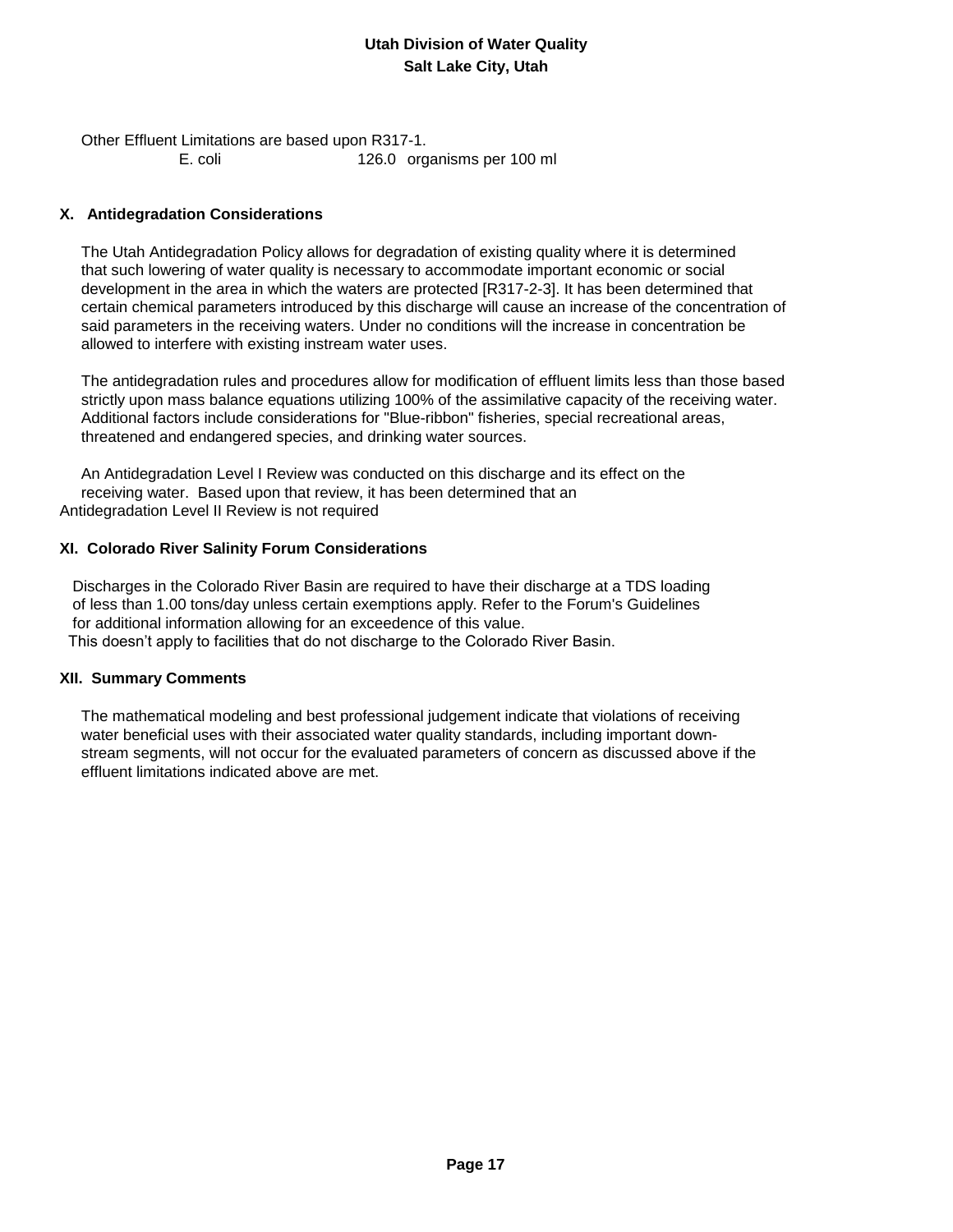Other Effluent Limitations are based upon R317-1. E. coli 126.0 organisms per 100 ml

### **X. Antidegradation Considerations**

 The Utah Antidegradation Policy allows for degradation of existing quality where it is determined that such lowering of water quality is necessary to accommodate important economic or social development in the area in which the waters are protected [R317-2-3]. It has been determined that certain chemical parameters introduced by this discharge will cause an increase of the concentration of said parameters in the receiving waters. Under no conditions will the increase in concentration be allowed to interfere with existing instream water uses.

 The antidegradation rules and procedures allow for modification of effluent limits less than those based strictly upon mass balance equations utilizing 100% of the assimilative capacity of the receiving water. Additional factors include considerations for "Blue-ribbon" fisheries, special recreational areas, threatened and endangered species, and drinking water sources.

 An Antidegradation Level I Review was conducted on this discharge and its effect on the receiving water. Based upon that review, it has been determined that an Antidegradation Level II Review is not required

### **XI. Colorado River Salinity Forum Considerations**

 Discharges in the Colorado River Basin are required to have their discharge at a TDS loading of less than 1.00 tons/day unless certain exemptions apply. Refer to the Forum's Guidelines for additional information allowing for an exceedence of this value. This doesn't apply to facilities that do not discharge to the Colorado River Basin.

### **XII. Summary Comments**

 The mathematical modeling and best professional judgement indicate that violations of receiving water beneficial uses with their associated water quality standards, including important down stream segments, will not occur for the evaluated parameters of concern as discussed above if the effluent limitations indicated above are met.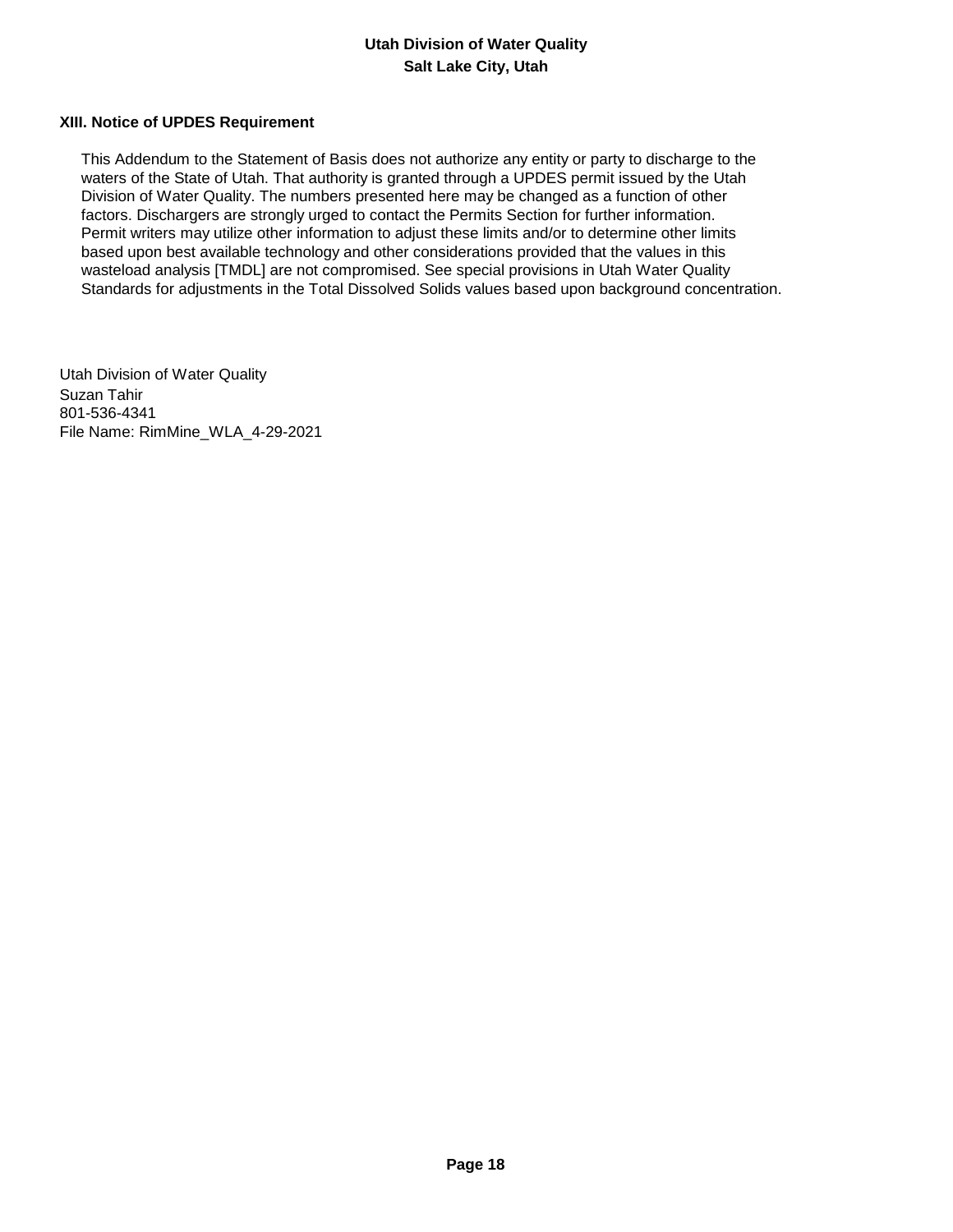#### **XIII. Notice of UPDES Requirement**

 This Addendum to the Statement of Basis does not authorize any entity or party to discharge to the waters of the State of Utah. That authority is granted through a UPDES permit issued by the Utah Division of Water Quality. The numbers presented here may be changed as a function of other factors. Dischargers are strongly urged to contact the Permits Section for further information. Permit writers may utilize other information to adjust these limits and/or to determine other limits based upon best available technology and other considerations provided that the values in this wasteload analysis [TMDL] are not compromised. See special provisions in Utah Water Quality Standards for adjustments in the Total Dissolved Solids values based upon background concentration.

Utah Division of Water Quality Suzan Tahir 801-536-4341 File Name: RimMine\_WLA\_4-29-2021